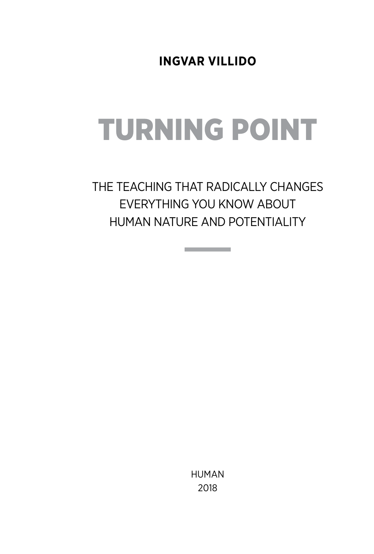**Ingvar Villido**

# Turning Point

The Teaching that Radically Changes Everything You Know About Human Nature and Potentiality

**Contract Contract Contract** 

Human 2018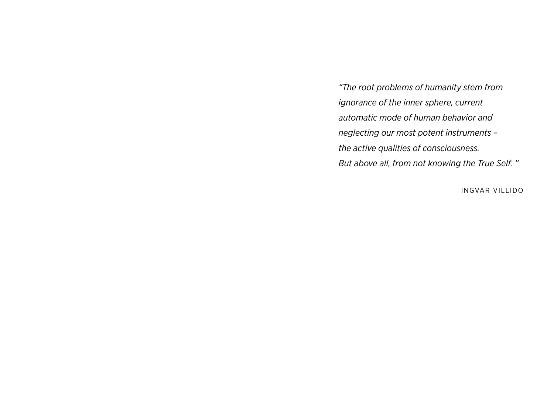*"The root problems of humanity stem from ignorance of the inner sphere, current automatic mode of human behavior and neglecting our most potent instruments – the active qualities of consciousness. But above all, from not knowing the True Self. "*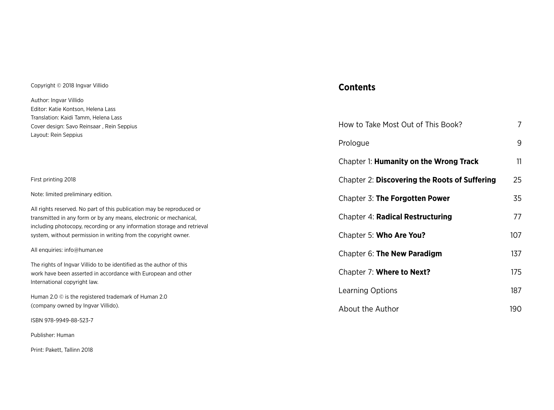#### Copyright © 2018 Ingvar Villido

Author: Ingvar Villido Editor: Katie Kontson, Helena Lass Translation: Cover desig Layout: Rei

### **Contents**

| Translation: Kaidi Tamm, Helena Lass                                                                                                                                 |                                               |     |
|----------------------------------------------------------------------------------------------------------------------------------------------------------------------|-----------------------------------------------|-----|
| Cover design: Savo Reinsaar, Rein Seppius                                                                                                                            | How to Take Most Out of This Book?            |     |
| Layout: Rein Seppius                                                                                                                                                 | Prologue                                      | 9   |
|                                                                                                                                                                      | Chapter 1: Humanity on the Wrong Track        | 11  |
| First printing 2018                                                                                                                                                  | Chapter 2: Discovering the Roots of Suffering | 25  |
| Note: limited preliminary edition.                                                                                                                                   | Chapter 3: The Forgotten Power                | 35  |
| All rights reserved. No part of this publication may be reproduced or<br>transmitted in any form or by any means, electronic or mechanical,                          | Chapter 4: Radical Restructuring              | 77  |
| including photocopy, recording or any information storage and retrieval<br>system, without permission in writing from the copyright owner.                           | Chapter 5: Who Are You?                       | 107 |
| All enquiries: info@human.ee                                                                                                                                         | Chapter 6: The New Paradigm                   | 137 |
| The rights of Ingvar Villido to be identified as the author of this<br>work have been asserted in accordance with European and other<br>International copyright law. | Chapter 7: Where to Next?                     | 175 |
| Human 2.0 © is the registered trademark of Human 2.0<br>(company owned by Ingvar Villido).                                                                           | Learning Options                              | 187 |
|                                                                                                                                                                      | About the Author                              | 190 |
|                                                                                                                                                                      |                                               |     |

ISBN 978-9949-88-523-7

Publisher: Human

Print: Pakett, Tallinn 2018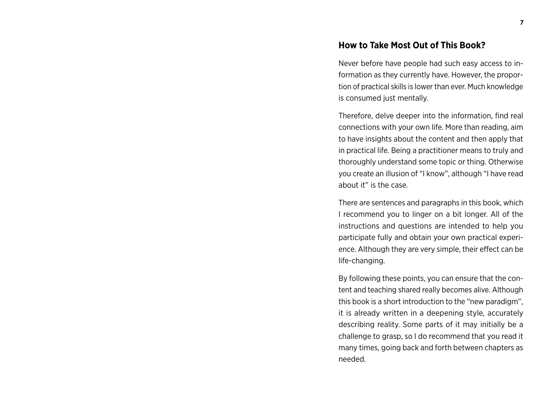### **How to Take Most Out of This Book?**

Never before have people had such easy access to information as they currently have. However, the proportion of practical skills is lower than ever. Much knowledge is consumed just mentally.

Therefore, delve deeper into the information, find real connections with your own life. More than reading, aim to have insights about the content and then apply that in practical life. Being a practitioner means to truly and thoroughly understand some topic or thing. Otherwise you create an illusion of "I know", although "I have read about it" is the case.

There are sentences and paragraphs in this book, which I recommend you to linger on a bit longer. All of the instructions and questions are intended to help you participate fully and obtain your own practical experience. Although they are very simple, their effect can be life-changing.

By following these points, you can ensure that the content and teaching shared really becomes alive. Although this book is a short introduction to the "new paradigm", it is already written in a deepening style, accurately describing reality. Some parts of it may initially be a challenge to grasp, so I do recommend that you read it many times, going back and forth between chapters as needed.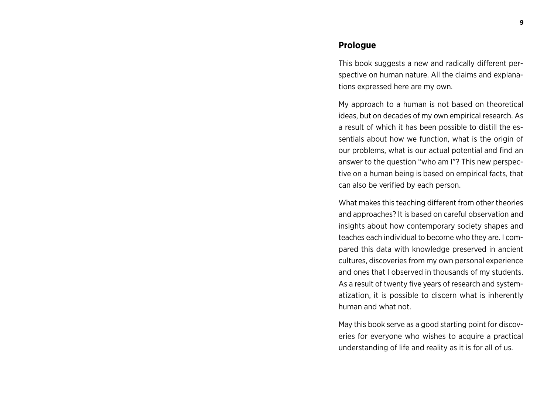#### **Prologue**

This book suggests a new and radically different perspective on human nature. All the claims and explanations expressed here are my own.

My approach to a human is not based on theoretical ideas, but on decades of my own empirical research. As a result of which it has been possible to distill the essentials about how we function, what is the origin of our problems, what is our actual potential and find an answer to the question "who am I"? This new perspective on a human being is based on empirical facts, that can also be verified by each person.

What makes this teaching different from other theories and approaches? It is based on careful observation and insights about how contemporary society shapes and teaches each individual to become who they are. I compared this data with knowledge preserved in ancient cultures, discoveries from my own personal experience and ones that I observed in thousands of my students. As a result of twenty five years of research and systematization, it is possible to discern what is inherently human and what not.

May this book serve as a good starting point for discoveries for everyone who wishes to acquire a practical understanding of life and reality as it is for all of us.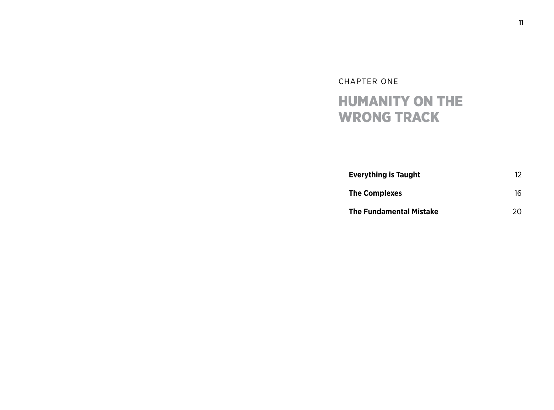### CHAPTER ONE HUMANITY ON THE WRONG TRACK

| <b>Everything is Taught</b>    | 12 |
|--------------------------------|----|
| <b>The Complexes</b>           | 16 |
| <b>The Fundamental Mistake</b> | 20 |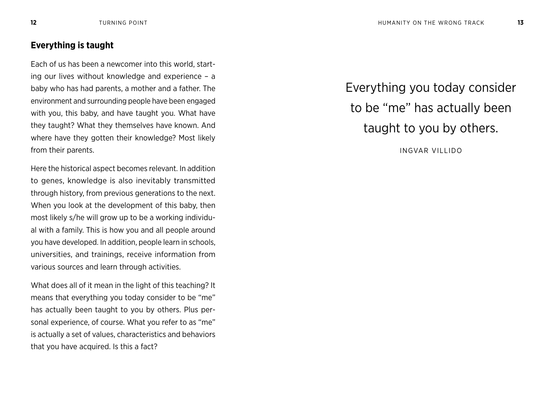### **Everything is taught**

Each of us has been a newcomer into this world, starting our lives without knowledge and experience – a baby who has had parents, a mother and a father. The environment and surrounding people have been engaged with you, this baby, and have taught you. What have they taught? What they themselves have known. And where have they gotten their knowledge? Most likely from their parents.

Here the historical aspect becomes relevant. In addition to genes, knowledge is also inevitably transmitted through history, from previous generations to the next. When you look at the development of this baby, then most likely s/he will grow up to be a working individual with a family. This is how you and all people around you have developed. In addition, people learn in schools, universities, and trainings, receive information from various sources and learn through activities.

What does all of it mean in the light of this teaching? It means that everything you today consider to be "me" has actually been taught to you by others. Plus personal experience, of course. What you refer to as "me" is actually a set of values, characteristics and behaviors that you have acquired. Is this a fact?

Everything you today consider to be "me" has actually been taught to you by others.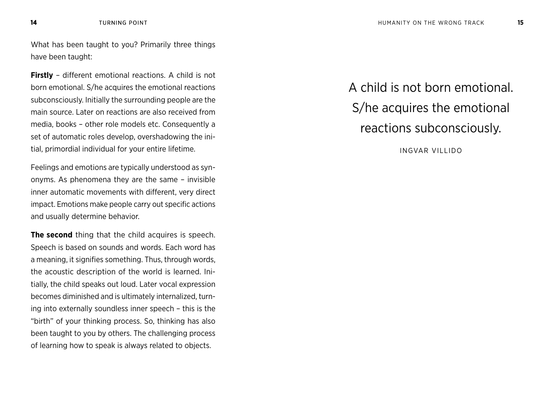What has been taught to you? Primarily three things have been taught:

**Firstly** – different emotional reactions. A child is not born emotional. S/he acquires the emotional reactions subconsciously. Initially the surrounding people are the main source. Later on reactions are also received from media, books – other role models etc. Consequently a set of automatic roles develop, overshadowing the initial, primordial individual for your entire lifetime.

Feelings and emotions are typically understood as synonyms. As phenomena they are the same – invisible inner automatic movements with different, very direct impact. Emotions make people carry out specific actions and usually determine behavior.

**The second** thing that the child acquires is speech. Speech is based on sounds and words. Each word has a meaning, it signifies something. Thus, through words, the acoustic description of the world is learned. Initially, the child speaks out loud. Later vocal expression becomes diminished and is ultimately internalized, turning into externally soundless inner speech – this is the "birth" of your thinking process. So, thinking has also been taught to you by others. The challenging process of learning how to speak is always related to objects.

A child is not born emotional. S/he acquires the emotional reactions subconsciously.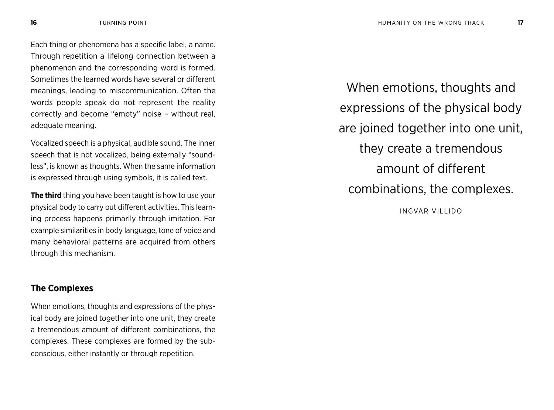Each thing or phenomena has a specific label, a name. Through repetition a lifelong connection between a phenomenon and the corresponding word is formed. Sometimes the learned words have several or different meanings, leading to miscommunication. Often the words people speak do not represent the reality correctly and become "empty" noise – without real, adequate meaning.

Vocalized speech is a physical, audible sound. The inner speech that is not vocalized, being externally "soundless", is known as thoughts. When the same information is expressed through using symbols, it is called text.

**The third** thing you have been taught is how to use your physical body to carry out different activities. This learning process happens primarily through imitation. For example similarities in body language, tone of voice and many behavioral patterns are acquired from others through this mechanism.

### **The Complexes**

When emotions, thoughts and expressions of the physical body are joined together into one unit, they create a tremendous amount of different combinations, the complexes. These complexes are formed by the subconscious, either instantly or through repetition.

When emotions, thoughts and expressions of the physical body are joined together into one unit, they create a tremendous amount of different combinations, the complexes. INGVAR VILLIDO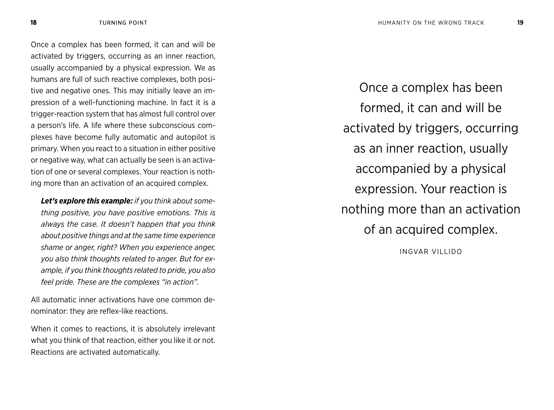Once a complex has been formed, it can and will be activated by triggers, occurring as an inner reaction, usually accompanied by a physical expression. We as humans are full of such reactive complexes, both positive and negative ones. This may initially leave an impression of a well-functioning machine. In fact it is a trigger-reaction system that has almost full control over a person's life. A life where these subconscious complexes have become fully automatic and autopilot is primary. When you react to a situation in either positive or negative way, what can actually be seen is an activation of one or several complexes. Your reaction is nothing more than an activation of an acquired complex.

*Let's explore this example: if you think about something positive, you have positive emotions. This is always the case. It doesn't happen that you think about positive things and at the same time experience shame or anger, right? When you experience anger, you also think thoughts related to anger. But for example, if you think thoughts related to pride, you also feel pride. These are the complexes "in action".*

All automatic inner activations have one common denominator: they are reflex-like reactions.

When it comes to reactions, it is absolutely irrelevant what you think of that reaction, either you like it or not. Reactions are activated automatically.

Once a complex has been formed, it can and will be activated by triggers, occurring as an inner reaction, usually accompanied by a physical expression. Your reaction is nothing more than an activation of an acquired complex.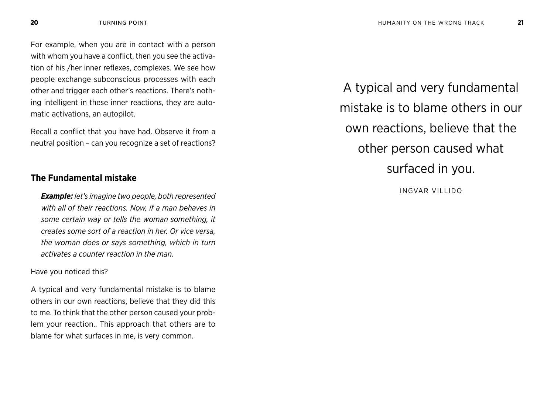For example, when you are in contact with a person with whom you have a conflict, then you see the activation of his /her inner reflexes, complexes. We see how people exchange subconscious processes with each other and trigger each other's reactions. There's nothing intelligent in these inner reactions, they are automatic activations, an autopilot.

Recall a conflict that you have had. Observe it from a neutral position – can you recognize a set of reactions?

### **The Fundamental mistake**

*Example: let's imagine two people, both represented with all of their reactions. Now, if a man behaves in some certain way or tells the woman something, it creates some sort of a reaction in her. Or vice versa, the woman does or says something, which in turn activates a counter reaction in the man.* 

Have you noticed this?

A typical and very fundamental mistake is to blame others in our own reactions, believe that they did this to me. To think that the other person caused your problem your reaction.. This approach that others are to blame for what surfaces in me, is very common.

A typical and very fundamental mistake is to blame others in our own reactions, believe that the other person caused what surfaced in you.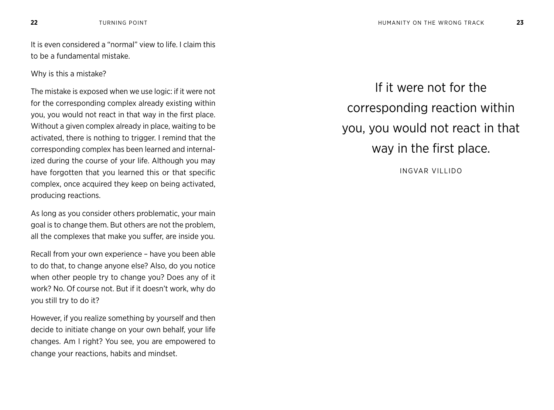It is even considered a "normal" view to life. I claim this to be a fundamental mistake.

Why is this a mistake?

The mistake is exposed when we use logic: if it were not for the corresponding complex already existing within you, you would not react in that way in the first place. Without a given complex already in place, waiting to be activated, there is nothing to trigger. I remind that the corresponding complex has been learned and internalized during the course of your life. Although you may have forgotten that you learned this or that specific complex, once acquired they keep on being activated, producing reactions.

As long as you consider others problematic, your main goal is to change them. But others are not the problem, all the complexes that make you suffer, are inside you.

Recall from your own experience – have you been able to do that, to change anyone else? Also, do you notice when other people try to change you? Does any of it work? No. Of course not. But if it doesn't work, why do you still try to do it?

However, if you realize something by yourself and then decide to initiate change on your own behalf, your life changes. Am I right? You see, you are empowered to change your reactions, habits and mindset.

If it were not for the corresponding reaction within you, you would not react in that way in the first place.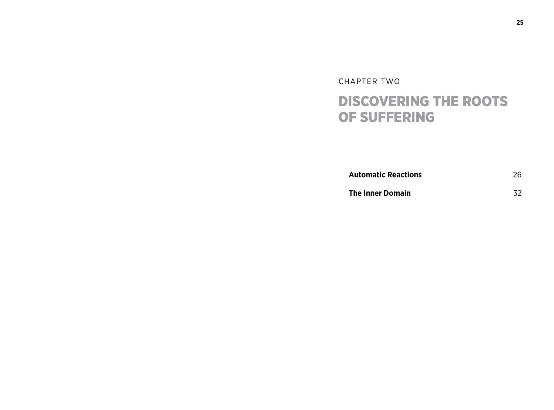### CHAPTER TWO DISCOVERING THE ROOTS OF SUFFERING

**Automatic Reactions** 26

**The Inner Domain** 32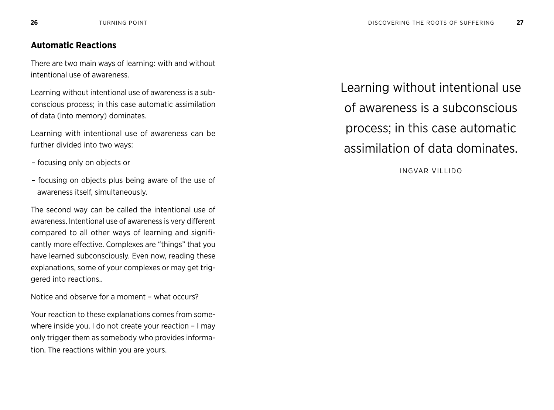### **Automatic Reactions**

There are two main ways of learning: with and without intentional use of awareness.

Learning without intentional use of awareness is a subconscious process; in this case automatic assimilation of data (into memory) dominates.

Learning with intentional use of awareness can be further divided into two ways:

- focusing only on objects or
- focusing on objects plus being aware of the use of awareness itself, simultaneously.

The second way can be called the intentional use of awareness. Intentional use of awareness is very different compared to all other ways of learning and significantly more effective. Complexes are "things" that you have learned subconsciously. Even now, reading these explanations, some of your complexes or may get triggered into reactions..

Notice and observe for a moment – what occurs?

Your reaction to these explanations comes from somewhere inside you. I do not create your reaction – I may only trigger them as somebody who provides information. The reactions within you are yours.

Learning without intentional use of awareness is a subconscious process; in this case automatic assimilation of data dominates.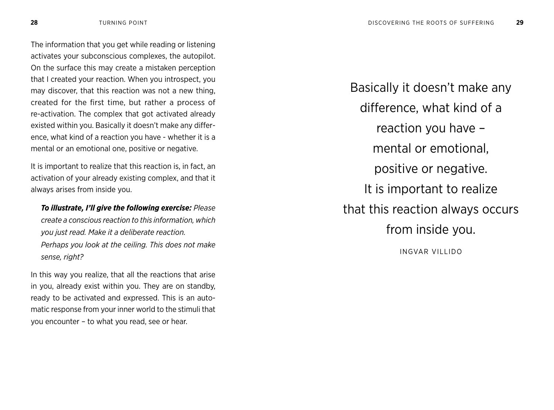The information that you get while reading or listening activates your subconscious complexes, the autopilot. On the surface this may create a mistaken perception that I created your reaction. When you introspect, you may discover, that this reaction was not a new thing, created for the first time, but rather a process of re-activation. The complex that got activated already existed within you. Basically it doesn't make any difference, what kind of a reaction you have - whether it is a mental or an emotional one, positive or negative.

It is important to realize that this reaction is, in fact, an activation of your already existing complex, and that it always arises from inside you.

*To illustrate, I'll give the following exercise: Please create a conscious reaction to this information, which you just read. Make it a deliberate reaction. Perhaps you look at the ceiling. This does not make sense, right?*

In this way you realize, that all the reactions that arise in you, already exist within you. They are on standby, ready to be activated and expressed. This is an automatic response from your inner world to the stimuli that you encounter – to what you read, see or hear.

Basically it doesn't make any difference, what kind of a reaction you have – mental or emotional, positive or negative. It is important to realize that this reaction always occurs from inside you.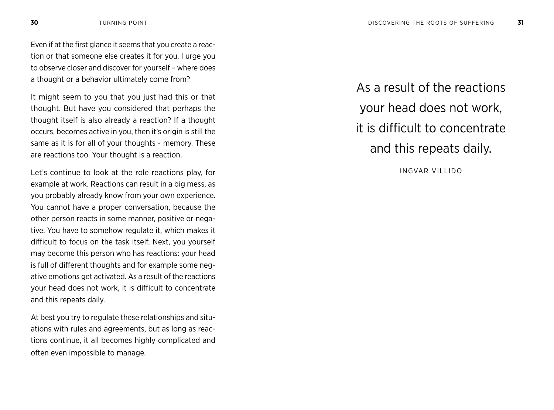Even if at the first glance it seems that you create a reaction or that someone else creates it for you, I urge you to observe closer and discover for yourself – where does a thought or a behavior ultimately come from?

It might seem to you that you just had this or that thought. But have you considered that perhaps the thought itself is also already a reaction? If a thought occurs, becomes active in you, then it's origin is still the same as it is for all of your thoughts - memory. These are reactions too. Your thought is a reaction.

Let's continue to look at the role reactions play, for example at work. Reactions can result in a big mess, as you probably already know from your own experience. You cannot have a proper conversation, because the other person reacts in some manner, positive or negative. You have to somehow regulate it, which makes it difficult to focus on the task itself. Next, you yourself may become this person who has reactions: your head is full of different thoughts and for example some negative emotions get activated. As a result of the reactions your head does not work, it is difficult to concentrate and this repeats daily.

At best you try to regulate these relationships and situations with rules and agreements, but as long as reactions continue, it all becomes highly complicated and often even impossible to manage.

As a result of the reactions your head does not work, it is difficult to concentrate and this repeats daily.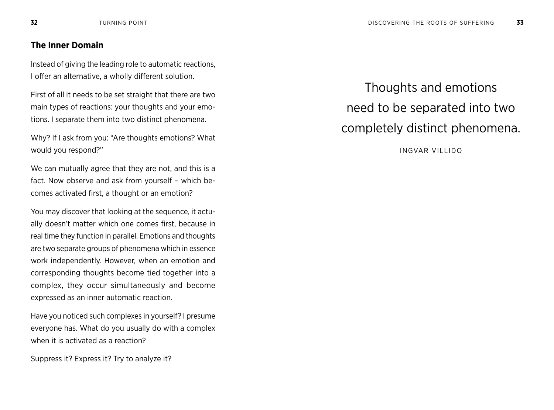### **The Inner Domain**

Instead of giving the leading role to automatic reactions, I offer an alternative, a wholly different solution.

First of all it needs to be set straight that there are two main types of reactions: your thoughts and your emotions. I separate them into two distinct phenomena.

Why? If I ask from you: "Are thoughts emotions? What would you respond?"

We can mutually agree that they are not, and this is a fact. Now observe and ask from yourself – which becomes activated first, a thought or an emotion?

You may discover that looking at the sequence, it actually doesn't matter which one comes first, because in real time they function in parallel. Emotions and thoughts are two separate groups of phenomena which in essence work independently. However, when an emotion and corresponding thoughts become tied together into a complex, they occur simultaneously and become expressed as an inner automatic reaction.

Have you noticed such complexes in yourself? I presume everyone has. What do you usually do with a complex when it is activated as a reaction?

Suppress it? Express it? Try to analyze it?

Thoughts and emotions need to be separated into two completely distinct phenomena.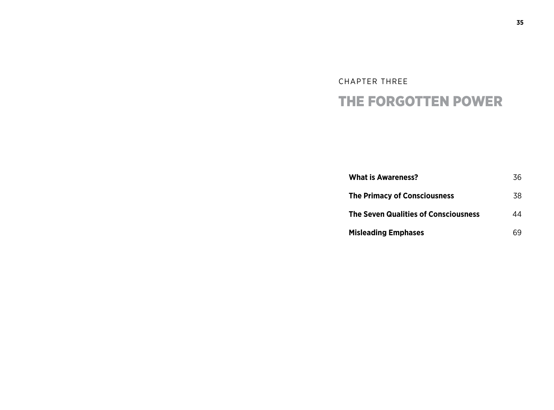### CHAPTER THREE THE FORGOTTEN POWER

| <b>What is Awareness?</b>                   | 36 |
|---------------------------------------------|----|
| <b>The Primacy of Consciousness</b>         | 38 |
| <b>The Seven Qualities of Consciousness</b> | 44 |
| <b>Misleading Emphases</b>                  | 69 |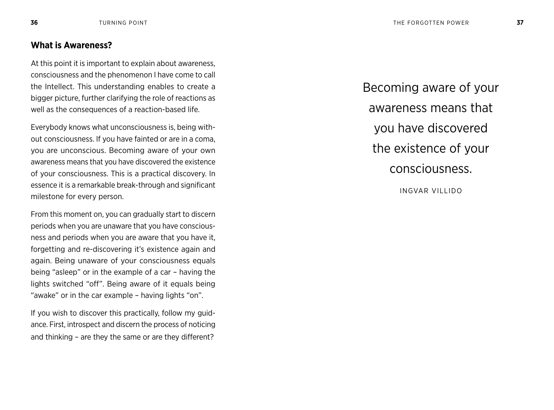### **What is Awareness?**

At this point it is important to explain about awareness, consciousness and the phenomenon I have come to call the Intellect. This understanding enables to create a bigger picture, further clarifying the role of reactions as well as the consequences of a reaction-based life.

Everybody knows what unconsciousness is, being without consciousness. If you have fainted or are in a coma, you are unconscious. Becoming aware of your own awareness means that you have discovered the existence of your consciousness. This is a practical discovery. In essence it is a remarkable break-through and significant milestone for every person.

From this moment on, you can gradually start to discern periods when you are unaware that you have consciousness and periods when you are aware that you have it, forgetting and re-discovering it's existence again and again. Being unaware of your consciousness equals being "asleep" or in the example of a car – having the lights switched "off". Being aware of it equals being "awake" or in the car example – having lights "on".

If you wish to discover this practically, follow my guidance. First, introspect and discern the process of noticing and thinking – are they the same or are they different?

Becoming aware of your awareness means that you have discovered the existence of your consciousness. INGVAR VILLIDO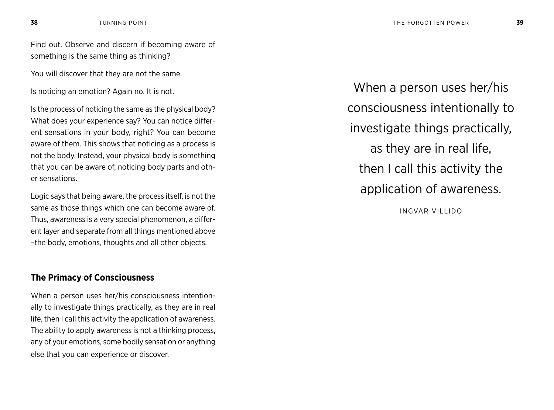Find out. Observe and discern if becoming aware of something is the same thing as thinking?

You will discover that they are not the same.

Is noticing an emotion? Again no. It is not.

Is the process of noticing the same as the physical body? What does your experience say? You can notice different sensations in your body, right? You can become aware of them. This shows that noticing as a process is not the body. Instead, your physical body is something that you can be aware of, noticing body parts and other sensations.

Logic says that being aware, the process itself, is not the same as those things which one can become aware of. Thus, awareness is a very special phenomenon, a different layer and separate from all things mentioned above –the body, emotions, thoughts and all other objects.

### **The Primacy of Consciousness**

When a person uses her/his consciousness intentionally to investigate things practically, as they are in real life, then I call this activity the application of awareness. The ability to apply awareness is not a thinking process, any of your emotions, some bodily sensation or anything else that you can experience or discover.

When a person uses her/his consciousness intentionally to investigate things practically, as they are in real life, then I call this activity the application of awareness.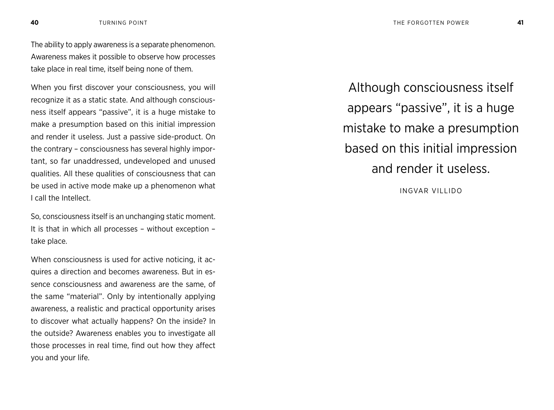The ability to apply awareness is a separate phenomenon. Awareness makes it possible to observe how processes take place in real time, itself being none of them.

When you first discover your consciousness, you will recognize it as a static state. And although consciousness itself appears "passive", it is a huge mistake to make a presumption based on this initial impression and render it useless. Just a passive side-product. On the contrary – consciousness has several highly important, so far unaddressed, undeveloped and unused qualities. All these qualities of consciousness that can be used in active mode make up a phenomenon what I call the Intellect.

So, consciousness itself is an unchanging static moment. It is that in which all processes – without exception – take place.

When consciousness is used for active noticing, it acquires a direction and becomes awareness. But in essence consciousness and awareness are the same, of the same "material". Only by intentionally applying awareness, a realistic and practical opportunity arises to discover what actually happens? On the inside? In the outside? Awareness enables you to investigate all those processes in real time, find out how they affect you and your life.

Although consciousness itself appears "passive", it is a huge mistake to make a presumption based on this initial impression and render it useless.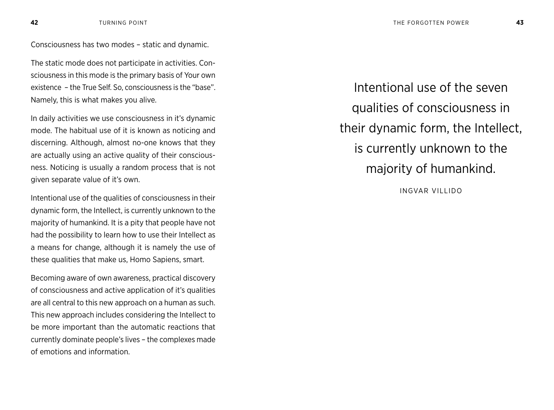Consciousness has two modes – static and dynamic.

The static mode does not participate in activities. Consciousness in this mode is the primary basis of Your own existence – the True Self. So, consciousness is the "base". Namely, this is what makes you alive.

In daily activities we use consciousness in it's dynamic mode. The habitual use of it is known as noticing and discerning. Although, almost no-one knows that they are actually using an active quality of their consciousness. Noticing is usually a random process that is not given separate value of it's own.

Intentional use of the qualities of consciousness in their dynamic form, the Intellect, is currently unknown to the majority of humankind. It is a pity that people have not had the possibility to learn how to use their Intellect as a means for change, although it is namely the use of these qualities that make us, Homo Sapiens, smart.

Becoming aware of own awareness, practical discovery of consciousness and active application of it's qualities are all central to this new approach on a human as such. This new approach includes considering the Intellect to be more important than the automatic reactions that currently dominate people's lives – the complexes made of emotions and information.

Intentional use of the seven qualities of consciousness in their dynamic form, the Intellect, is currently unknown to the majority of humankind.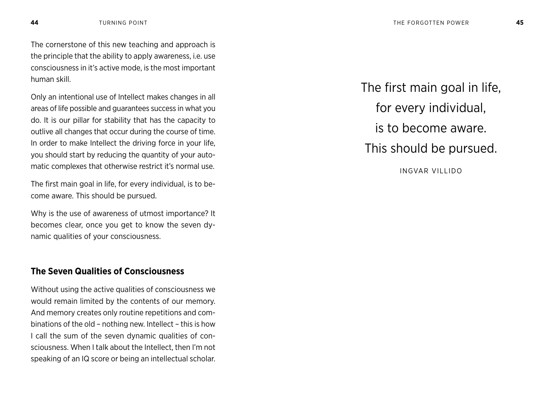The cornerstone of this new teaching and approach is the principle that the ability to apply awareness, i.e. use consciousness in it's active mode, is the most important human skill.

Only an intentional use of Intellect makes changes in all areas of life possible and guarantees success in what you do. It is our pillar for stability that has the capacity to outlive all changes that occur during the course of time. In order to make Intellect the driving force in your life, you should start by reducing the quantity of your automatic complexes that otherwise restrict it's normal use.

The first main goal in life, for every individual, is to become aware. This should be pursued.

Why is the use of awareness of utmost importance? It becomes clear, once you get to know the seven dynamic qualities of your consciousness.

### **The Seven Qualities of Consciousness**

Without using the active qualities of consciousness we would remain limited by the contents of our memory. And memory creates only routine repetitions and combinations of the old – nothing new. Intellect – this is how I call the sum of the seven dynamic qualities of consciousness. When I talk about the Intellect, then I'm not speaking of an IQ score or being an intellectual scholar.

The first main goal in life, for every individual, is to become aware. This should be pursued. INGVAR VILLIDO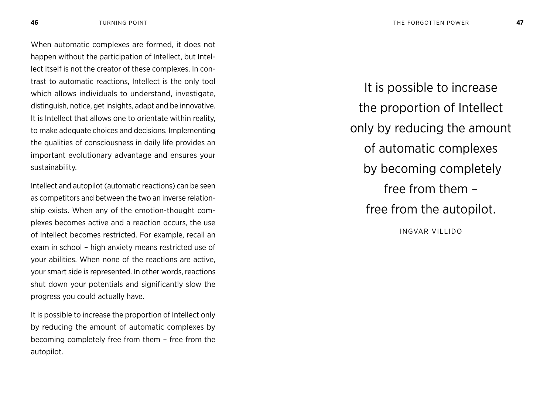When automatic complexes are formed, it does not happen without the participation of Intellect, but Intellect itself is not the creator of these complexes. In contrast to automatic reactions, Intellect is the only tool which allows individuals to understand, investigate, distinguish, notice, get insights, adapt and be innovative. It is Intellect that allows one to orientate within reality, to make adequate choices and decisions. Implementing the qualities of consciousness in daily life provides an important evolutionary advantage and ensures your sustainability.

Intellect and autopilot (automatic reactions) can be seen as competitors and between the two an inverse relationship exists. When any of the emotion-thought complexes becomes active and a reaction occurs, the use of Intellect becomes restricted. For example, recall an exam in school – high anxiety means restricted use of your abilities. When none of the reactions are active, your smart side is represented. In other words, reactions shut down your potentials and significantly slow the progress you could actually have.

It is possible to increase the proportion of Intellect only by reducing the amount of automatic complexes by becoming completely free from them – free from the autopilot.

It is possible to increase the proportion of Intellect only by reducing the amount of automatic complexes by becoming completely free from them – free from the autopilot. INGVAR VILLIDO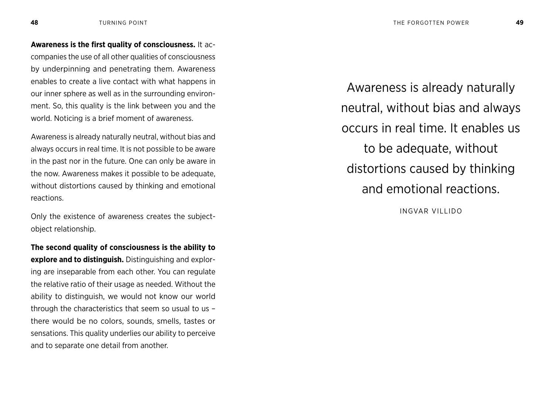**Awareness is the first quality of consciousness.** It accompanies the use of all other qualities of consciousness by underpinning and penetrating them. Awareness enables to create a live contact with what happens in our inner sphere as well as in the surrounding environment. So, this quality is the link between you and the world. Noticing is a brief moment of awareness.

Awareness is already naturally neutral, without bias and always occurs in real time. It is not possible to be aware in the past nor in the future. One can only be aware in the now. Awareness makes it possible to be adequate, without distortions caused by thinking and emotional reactions.

Only the existence of awareness creates the subjectobject relationship.

**The second quality of consciousness is the ability to explore and to distinguish.** Distinguishing and exploring are inseparable from each other. You can regulate the relative ratio of their usage as needed. Without the ability to distinguish, we would not know our world through the characteristics that seem so usual to us – there would be no colors, sounds, smells, tastes or sensations. This quality underlies our ability to perceive and to separate one detail from another.

Awareness is already naturally neutral, without bias and always occurs in real time. It enables us to be adequate, without distortions caused by thinking and emotional reactions.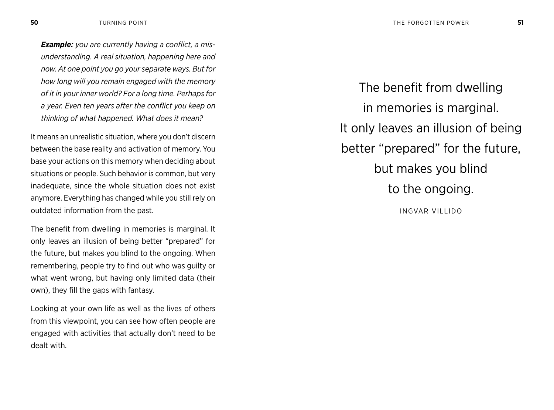*Example: you are currently having a conflict, a misunderstanding. A real situation, happening here and now. At one point you go your separate ways. But for how long will you remain engaged with the memory of it in your inner world? For a long time. Perhaps for a year. Even ten years after the conflict you keep on thinking of what happened. What does it mean?*

It means an unrealistic situation, where you don't discern between the base reality and activation of memory. You base your actions on this memory when deciding about situations or people. Such behavior is common, but very inadequate, since the whole situation does not exist anymore. Everything has changed while you still rely on outdated information from the past.

The benefit from dwelling in memories is marginal. It only leaves an illusion of being better "prepared" for the future, but makes you blind to the ongoing. When remembering, people try to find out who was guilty or what went wrong, but having only limited data (their own), they fill the gaps with fantasy.

Looking at your own life as well as the lives of others from this viewpoint, you can see how often people are engaged with activities that actually don't need to be dealt with.

The benefit from dwelling in memories is marginal. It only leaves an illusion of being better "prepared" for the future, but makes you blind to the ongoing. INGVAR VILLIDO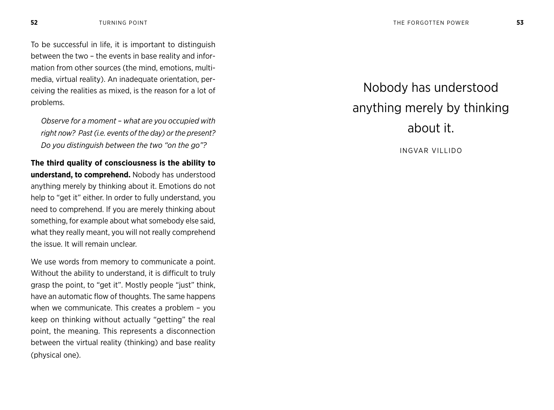To be successful in life, it is important to distinguish between the two – the events in base reality and information from other sources (the mind, emotions, multimedia, virtual reality). An inadequate orientation, perceiving the realities as mixed, is the reason for a lot of problems.

*Observe for a moment – what are you occupied with right now? Past (i.e. events of the day) or the present? Do you distinguish between the two "on the go"?*

**The third quality of consciousness is the ability to understand, to comprehend.** Nobody has understood anything merely by thinking about it. Emotions do not help to "get it" either. In order to fully understand, you need to comprehend. If you are merely thinking about something, for example about what somebody else said, what they really meant, you will not really comprehend the issue. It will remain unclear.

We use words from memory to communicate a point. Without the ability to understand, it is difficult to truly grasp the point, to "get it". Mostly people "just" think, have an automatic flow of thoughts. The same happens when we communicate. This creates a problem – you keep on thinking without actually "getting" the real point, the meaning. This represents a disconnection between the virtual reality (thinking) and base reality (physical one).

## Nobody has understood anything merely by thinking about it.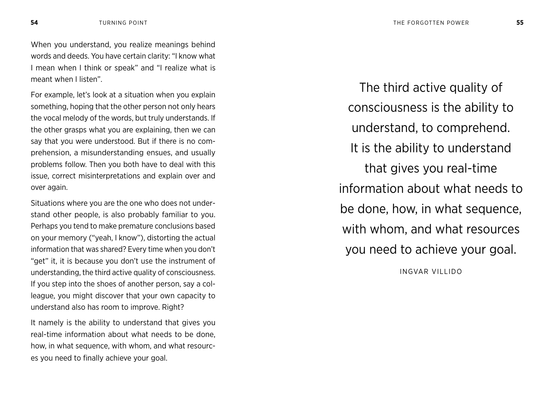When you understand, you realize meanings behind words and deeds. You have certain clarity: "I know what I mean when I think or speak" and "I realize what is meant when I listen".

For example, let's look at a situation when you explain something, hoping that the other person not only hears the vocal melody of the words, but truly understands. If the other grasps what you are explaining, then we can say that you were understood. But if there is no comprehension, a misunderstanding ensues, and usually problems follow. Then you both have to deal with this issue, correct misinterpretations and explain over and over again.

Situations where you are the one who does not understand other people, is also probably familiar to you. Perhaps you tend to make premature conclusions based on your memory ("yeah, I know"), distorting the actual information that was shared? Every time when you don't "get" it, it is because you don't use the instrument of understanding, the third active quality of consciousness. If you step into the shoes of another person, say a colleague, you might discover that your own capacity to understand also has room to improve. Right?

It namely is the ability to understand that gives you real-time information about what needs to be done, how, in what sequence, with whom, and what resources you need to finally achieve your goal.

The third active quality of consciousness is the ability to understand, to comprehend. It is the ability to understand that gives you real-time information about what needs to be done, how, in what sequence, with whom, and what resources you need to achieve your goal.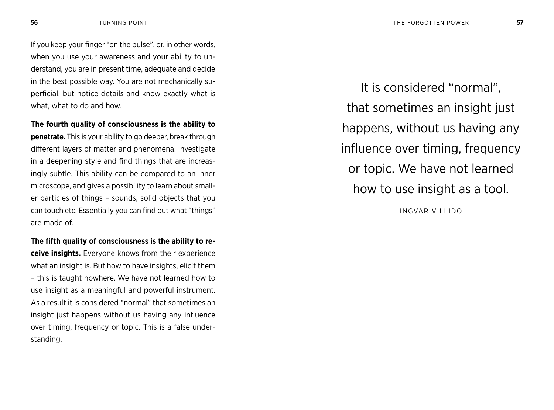If you keep your finger "on the pulse", or, in other words, when you use your awareness and your ability to understand, you are in present time, adequate and decide in the best possible way. You are not mechanically superficial, but notice details and know exactly what is what, what to do and how.

**The fourth quality of consciousness is the ability to penetrate.** This is your ability to go deeper, break through different layers of matter and phenomena. Investigate in a deepening style and find things that are increasingly subtle. This ability can be compared to an inner microscope, and gives a possibility to learn about smaller particles of things – sounds, solid objects that you can touch etc. Essentially you can find out what "things" are made of.

**The fifth quality of consciousness is the ability to receive insights.** Everyone knows from their experience what an insight is. But how to have insights, elicit them – this is taught nowhere. We have not learned how to use insight as a meaningful and powerful instrument. As a result it is considered "normal" that sometimes an insight just happens without us having any influence over timing, frequency or topic. This is a false understanding.

It is considered "normal", that sometimes an insight just happens, without us having any influence over timing, frequency or topic. We have not learned how to use insight as a tool.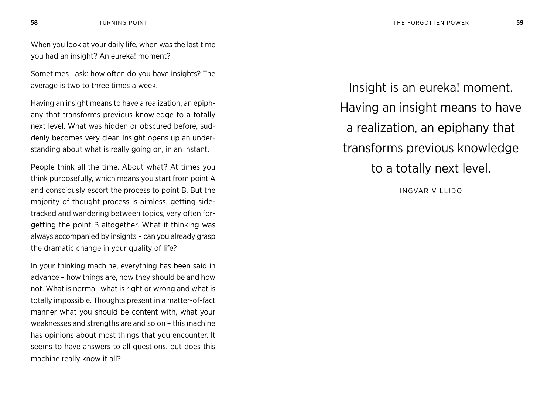When you look at your daily life, when was the last time you had an insight? An eureka! moment?

Sometimes I ask: how often do you have insights? The average is two to three times a week.

Having an insight means to have a realization, an epiphany that transforms previous knowledge to a totally next level. What was hidden or obscured before, suddenly becomes very clear. Insight opens up an understanding about what is really going on, in an instant.

People think all the time. About what? At times you think purposefully, which means you start from point A and consciously escort the process to point B. But the majority of thought process is aimless, getting sidetracked and wandering between topics, very often forgetting the point B altogether. What if thinking was always accompanied by insights – can you already grasp the dramatic change in your quality of life?

In your thinking machine, everything has been said in advance – how things are, how they should be and how not. What is normal, what is right or wrong and what is totally impossible. Thoughts present in a matter-of-fact manner what you should be content with, what your weaknesses and strengths are and so on – this machine has opinions about most things that you encounter. It seems to have answers to all questions, but does this machine really know it all?

Insight is an eureka! moment. Having an insight means to have a realization, an epiphany that transforms previous knowledge to a totally next level.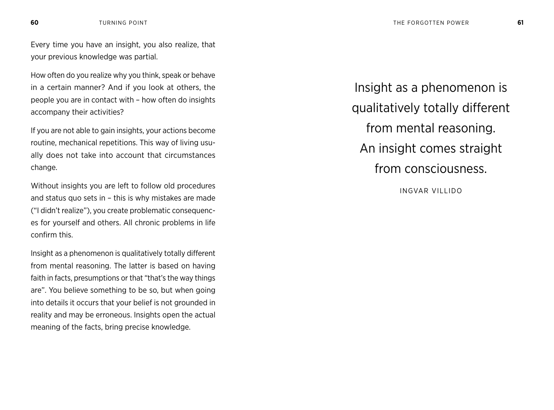Every time you have an insight, you also realize, that your previous knowledge was partial.

How often do you realize why you think, speak or behave in a certain manner? And if you look at others, the people you are in contact with – how often do insights accompany their activities?

If you are not able to gain insights, your actions become routine, mechanical repetitions. This way of living usually does not take into account that circumstances change.

Without insights you are left to follow old procedures and status quo sets in – this is why mistakes are made ("I didn't realize"), you create problematic consequences for yourself and others. All chronic problems in life confirm this.

Insight as a phenomenon is qualitatively totally different from mental reasoning. The latter is based on having faith in facts, presumptions or that "that's the way things are". You believe something to be so, but when going into details it occurs that your belief is not grounded in reality and may be erroneous. Insights open the actual meaning of the facts, bring precise knowledge.

Insight as a phenomenon is qualitatively totally different from mental reasoning. An insight comes straight from consciousness.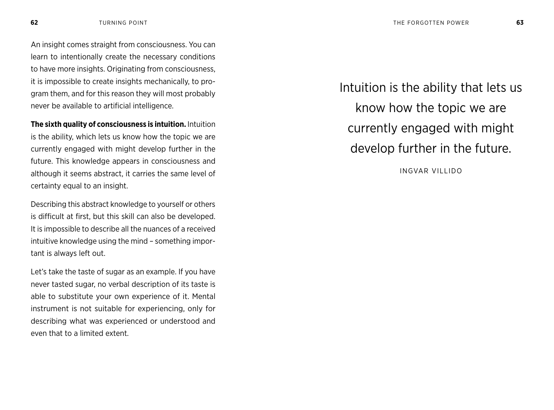An insight comes straight from consciousness. You can learn to intentionally create the necessary conditions to have more insights. Originating from consciousness, it is impossible to create insights mechanically, to program them, and for this reason they will most probably never be available to artificial intelligence.

**The sixth quality of consciousness is intuition.** Intuition is the ability, which lets us know how the topic we are currently engaged with might develop further in the future. This knowledge appears in consciousness and although it seems abstract, it carries the same level of certainty equal to an insight.

Describing this abstract knowledge to yourself or others is difficult at first, but this skill can also be developed. It is impossible to describe all the nuances of a received intuitive knowledge using the mind – something important is always left out.

Let's take the taste of sugar as an example. If you have never tasted sugar, no verbal description of its taste is able to substitute your own experience of it. Mental instrument is not suitable for experiencing, only for describing what was experienced or understood and even that to a limited extent.

Intuition is the ability that lets us know how the topic we are currently engaged with might develop further in the future.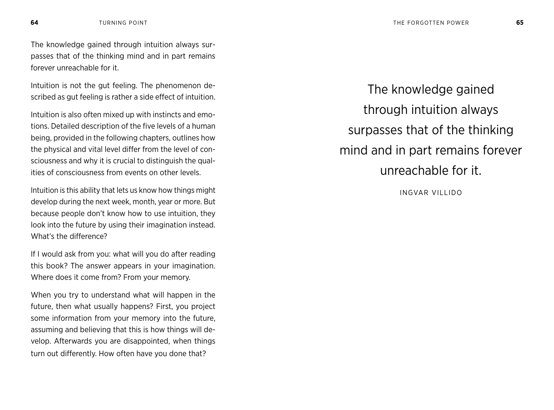The knowledge gained through intuition always surpasses that of the thinking mind and in part remains forever unreachable for it.

Intuition is not the gut feeling. The phenomenon described as gut feeling is rather a side effect of intuition.

Intuition is also often mixed up with instincts and emotions. Detailed description of the five levels of a human being, provided in the following chapters, outlines how the physical and vital level differ from the level of consciousness and why it is crucial to distinguish the qualities of consciousness from events on other levels.

Intuition is this ability that lets us know how things might develop during the next week, month, year or more. But because people don't know how to use intuition, they look into the future by using their imagination instead. What's the difference?

If I would ask from you: what will you do after reading this book? The answer appears in your imagination. Where does it come from? From your memory.

When you try to understand what will happen in the future, then what usually happens? First, you project some information from your memory into the future, assuming and believing that this is how things will develop. Afterwards you are disappointed, when things turn out differently. How often have you done that?

The knowledge gained through intuition always surpasses that of the thinking mind and in part remains forever unreachable for it.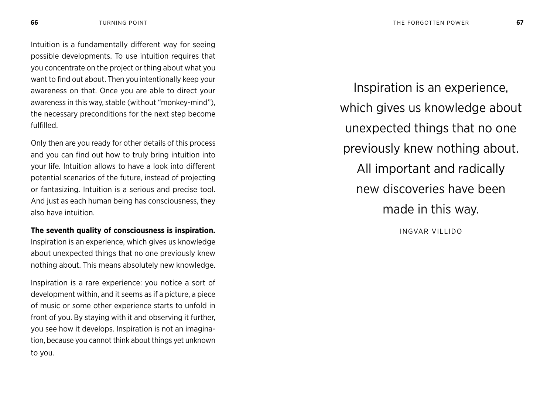Intuition is a fundamentally different way for seeing possible developments. To use intuition requires that you concentrate on the project or thing about what you want to find out about. Then you intentionally keep your awareness on that. Once you are able to direct your awareness in this way, stable (without "monkey-mind"), the necessary preconditions for the next step become fulfilled.

Only then are you ready for other details of this process and you can find out how to truly bring intuition into your life. Intuition allows to have a look into different potential scenarios of the future, instead of projecting or fantasizing. Intuition is a serious and precise tool. And just as each human being has consciousness, they also have intuition.

**The seventh quality of consciousness is inspiration.**  Inspiration is an experience, which gives us knowledge about unexpected things that no one previously knew nothing about. This means absolutely new knowledge.

Inspiration is a rare experience: you notice a sort of development within, and it seems as if a picture, a piece of music or some other experience starts to unfold in front of you. By staying with it and observing it further, you see how it develops. Inspiration is not an imagination, because you cannot think about things yet unknown to you.

Inspiration is an experience, which gives us knowledge about unexpected things that no one previously knew nothing about. All important and radically new discoveries have been made in this way.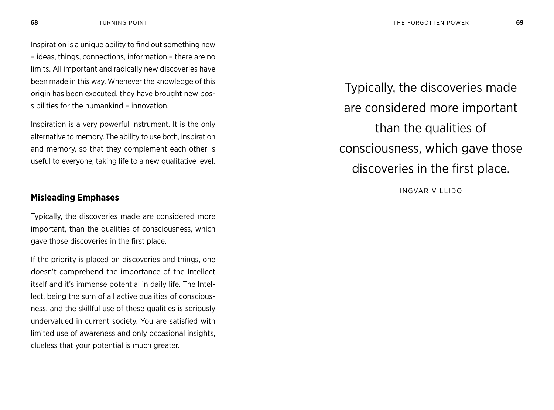Inspiration is a unique ability to find out something new – ideas, things, connections, information – there are no limits. All important and radically new discoveries have been made in this way. Whenever the knowledge of this origin has been executed, they have brought new possibilities for the humankind – innovation.

Inspiration is a very powerful instrument. It is the only alternative to memory. The ability to use both, inspiration and memory, so that they complement each other is useful to everyone, taking life to a new qualitative level.

### **Misleading Emphases**

Typically, the discoveries made are considered more important, than the qualities of consciousness, which gave those discoveries in the first place.

If the priority is placed on discoveries and things, one doesn't comprehend the importance of the Intellect itself and it's immense potential in daily life. The Intellect, being the sum of all active qualities of consciousness, and the skillful use of these qualities is seriously undervalued in current society. You are satisfied with limited use of awareness and only occasional insights, clueless that your potential is much greater.

Typically, the discoveries made are considered more important than the qualities of consciousness, which gave those discoveries in the first place.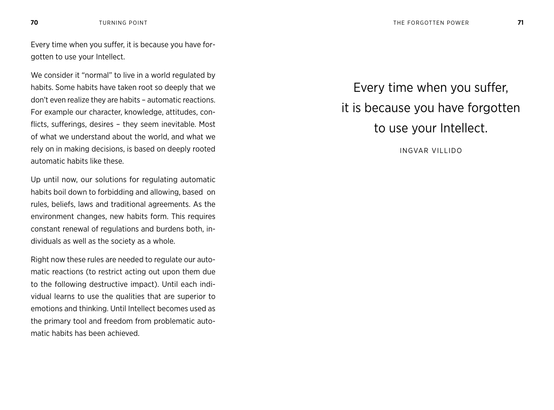Every time when you suffer, it is because you have forgotten to use your Intellect.

We consider it "normal" to live in a world regulated by habits. Some habits have taken root so deeply that we don't even realize they are habits – automatic reactions. For example our character, knowledge, attitudes, conflicts, sufferings, desires – they seem inevitable. Most of what we understand about the world, and what we rely on in making decisions, is based on deeply rooted automatic habits like these.

Up until now, our solutions for regulating automatic habits boil down to forbidding and allowing, based on rules, beliefs, laws and traditional agreements. As the environment changes, new habits form. This requires constant renewal of regulations and burdens both, individuals as well as the society as a whole.

Right now these rules are needed to regulate our automatic reactions (to restrict acting out upon them due to the following destructive impact). Until each individual learns to use the qualities that are superior to emotions and thinking. Until Intellect becomes used as the primary tool and freedom from problematic automatic habits has been achieved.

Every time when you suffer, it is because you have forgotten to use your Intellect.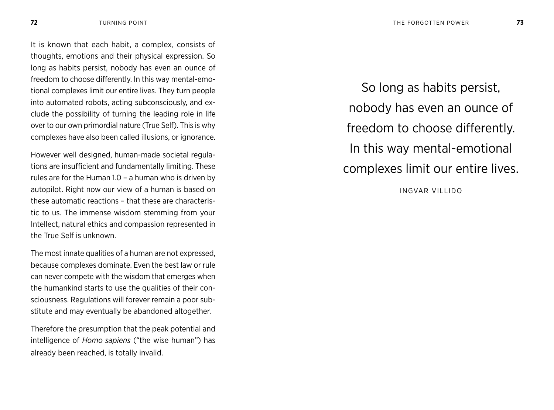It is known that each habit, a complex, consists of thoughts, emotions and their physical expression. So long as habits persist, nobody has even an ounce of freedom to choose differently. In this way mental-emotional complexes limit our entire lives. They turn people into automated robots, acting subconsciously, and exclude the possibility of turning the leading role in life over to our own primordial nature (True Self). This is why complexes have also been called illusions, or ignorance.

However well designed, human-made societal regulations are insufficient and fundamentally limiting. These rules are for the Human 1.0 – a human who is driven by autopilot. Right now our view of a human is based on these automatic reactions – that these are characteristic to us. The immense wisdom stemming from your Intellect, natural ethics and compassion represented in the True Self is unknown.

The most innate qualities of a human are not expressed, because complexes dominate. Even the best law or rule can never compete with the wisdom that emerges when the humankind starts to use the qualities of their consciousness. Regulations will forever remain a poor substitute and may eventually be abandoned altogether.

Therefore the presumption that the peak potential and intelligence of *Homo sapiens* ("the wise human") has already been reached, is totally invalid.

So long as habits persist, nobody has even an ounce of freedom to choose differently. In this way mental-emotional complexes limit our entire lives.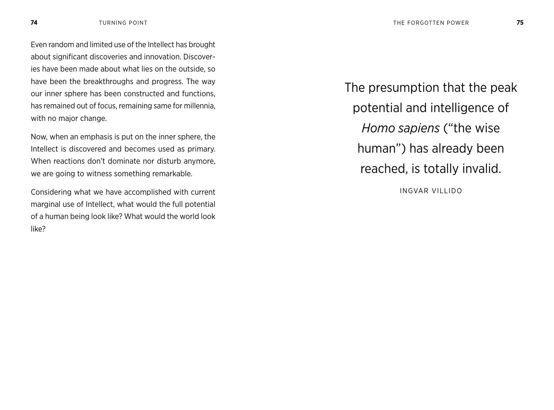Even random and limited use of the Intellect has brought about significant discoveries and innovation. Discoveries have been made about what lies on the outside, so have been the breakthroughs and progress. The way our inner sphere has been constructed and functions, has remained out of focus, remaining same for millennia, with no major change.

Now, when an emphasis is put on the inner sphere, the Intellect is discovered and becomes used as primary. When reactions don't dominate nor disturb anymore, we are going to witness something remarkable.

Considering what we have accomplished with current marginal use of Intellect, what would the full potential of a human being look like? What would the world look like?

The presumption that the peak potential and intelligence of *Homo sapiens* ("the wise human") has already been reached, is totally invalid.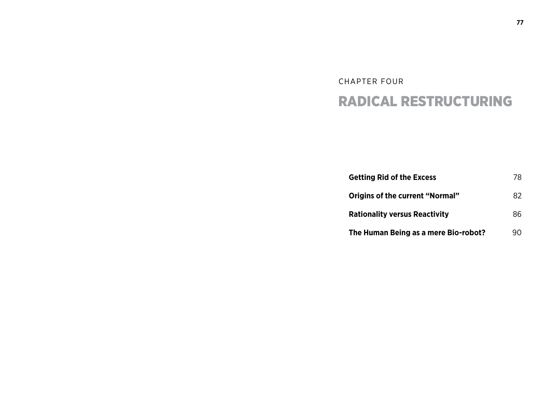# CHAPTER FOUR RADICAL RESTRUCTURING

| <b>Getting Rid of the Excess</b>       | 78 |
|----------------------------------------|----|
| <b>Origins of the current "Normal"</b> | 82 |
| <b>Rationality versus Reactivity</b>   | 86 |
| The Human Being as a mere Bio-robot?   | 90 |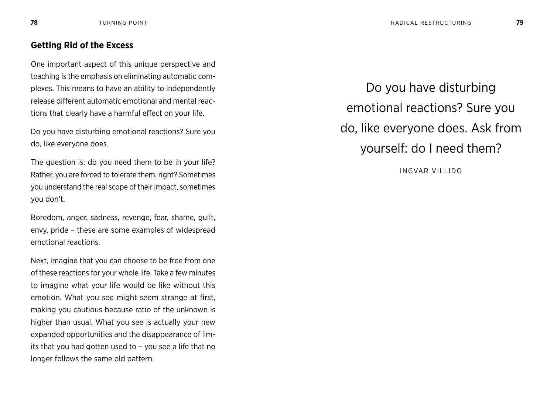#### **Getting Rid of the Excess**

One important aspect of this unique perspective and teaching is the emphasis on eliminating automatic complexes. This means to have an ability to independently release different automatic emotional and mental reactions that clearly have a harmful effect on your life.

Do you have disturbing emotional reactions? Sure you do, like everyone does.

The question is: do you need them to be in your life? Rather, you are forced to tolerate them, right? Sometimes you understand the real scope of their impact, sometimes you don't.

Boredom, anger, sadness, revenge, fear, shame, guilt, envy, pride – these are some examples of widespread emotional reactions.

Next, imagine that you can choose to be free from one of these reactions for your whole life. Take a few minutes to imagine what your life would be like without this emotion. What you see might seem strange at first, making you cautious because ratio of the unknown is higher than usual. What you see is actually your new expanded opportunities and the disappearance of limits that you had gotten used to – you see a life that no longer follows the same old pattern.

Do you have disturbing emotional reactions? Sure you do, like everyone does. Ask from yourself: do I need them?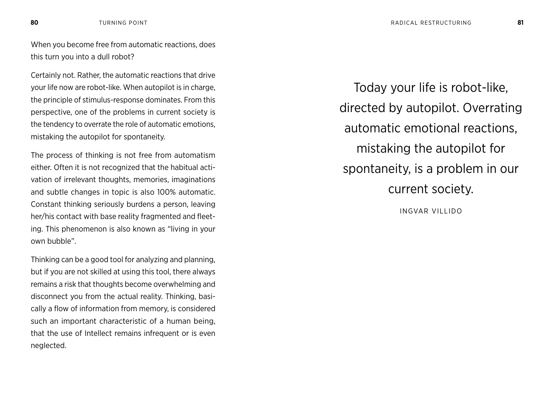When you become free from automatic reactions, does this turn you into a dull robot?

Certainly not. Rather, the automatic reactions that drive your life now are robot-like. When autopilot is in charge, the principle of stimulus-response dominates. From this perspective, one of the problems in current society is the tendency to overrate the role of automatic emotions, mistaking the autopilot for spontaneity.

The process of thinking is not free from automatism either. Often it is not recognized that the habitual activation of irrelevant thoughts, memories, imaginations and subtle changes in topic is also 100% automatic. Constant thinking seriously burdens a person, leaving her/his contact with base reality fragmented and fleeting. This phenomenon is also known as "living in your own bubble".

Thinking can be a good tool for analyzing and planning, but if you are not skilled at using this tool, there always remains a risk that thoughts become overwhelming and disconnect you from the actual reality. Thinking, basically a flow of information from memory, is considered such an important characteristic of a human being, that the use of Intellect remains infrequent or is even neglected.

Today your life is robot-like, directed by autopilot. Overrating automatic emotional reactions, mistaking the autopilot for spontaneity, is a problem in our current society. INGVAR VILLIDO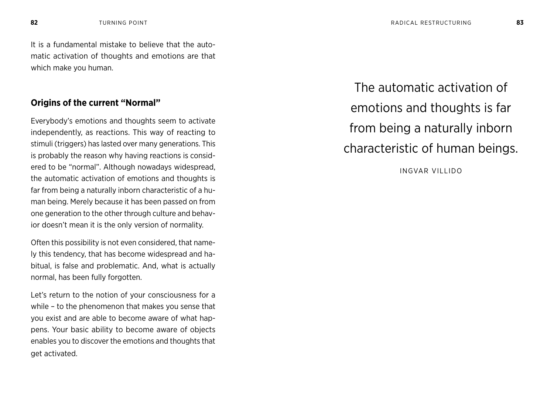It is a fundamental mistake to believe that the automatic activation of thoughts and emotions are that which make you human.

#### **Origins of the current "Normal"**

Everybody's emotions and thoughts seem to activate independently, as reactions. This way of reacting to stimuli (triggers) has lasted over many generations. This is probably the reason why having reactions is considered to be "normal". Although nowadays widespread, the automatic activation of emotions and thoughts is far from being a naturally inborn characteristic of a human being. Merely because it has been passed on from one generation to the other through culture and behavior doesn't mean it is the only version of normality.

Often this possibility is not even considered, that namely this tendency, that has become widespread and habitual, is false and problematic. And, what is actually normal, has been fully forgotten.

Let's return to the notion of your consciousness for a while – to the phenomenon that makes you sense that you exist and are able to become aware of what happens. Your basic ability to become aware of objects enables you to discover the emotions and thoughts that get activated.

The automatic activation of emotions and thoughts is far from being a naturally inborn characteristic of human beings.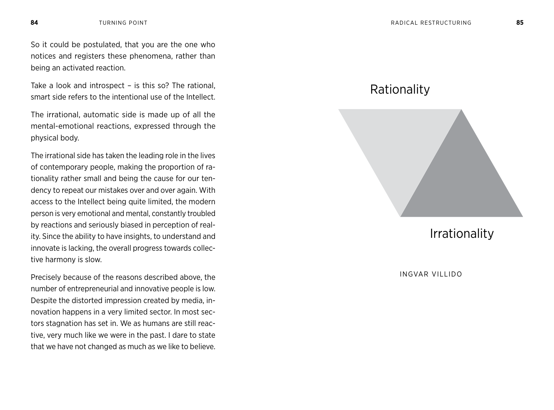So it could be postulated, that you are the one who notices and registers these phenomena, rather than being an activated reaction.

Take a look and introspect – is this so? The rational, smart side refers to the intentional use of the Intellect.

The irrational, automatic side is made up of all the mental-emotional reactions, expressed through the physical body.

The irrational side has taken the leading role in the lives of contemporary people, making the proportion of rationality rather small and being the cause for our tendency to repeat our mistakes over and over again. With access to the Intellect being quite limited, the modern person is very emotional and mental, constantly troubled by reactions and seriously biased in perception of reality. Since the ability to have insights, to understand and innovate is lacking, the overall progress towards collective harmony is slow.

Precisely because of the reasons described above, the number of entrepreneurial and innovative people is low. Despite the distorted impression created by media, innovation happens in a very limited sector. In most sectors stagnation has set in. We as humans are still reactive, very much like we were in the past. I dare to state that we have not changed as much as we like to believe.

### Rationality



Irrationality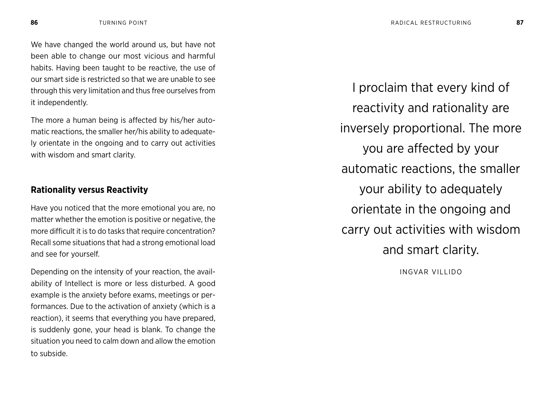We have changed the world around us, but have not been able to change our most vicious and harmful habits. Having been taught to be reactive, the use of our smart side is restricted so that we are unable to see through this very limitation and thus free ourselves from it independently.

The more a human being is affected by his/her automatic reactions, the smaller her/his ability to adequately orientate in the ongoing and to carry out activities with wisdom and smart clarity.

#### **Rationality versus Reactivity**

Have you noticed that the more emotional you are, no matter whether the emotion is positive or negative, the more difficult it is to do tasks that require concentration? Recall some situations that had a strong emotional load and see for yourself.

Depending on the intensity of your reaction, the availability of Intellect is more or less disturbed. A good example is the anxiety before exams, meetings or performances. Due to the activation of anxiety (which is a reaction), it seems that everything you have prepared, is suddenly gone, your head is blank. To change the situation you need to calm down and allow the emotion to subside.

I proclaim that every kind of reactivity and rationality are inversely proportional. The more you are affected by your automatic reactions, the smaller your ability to adequately orientate in the ongoing and carry out activities with wisdom and smart clarity. INGVAR VILLIDO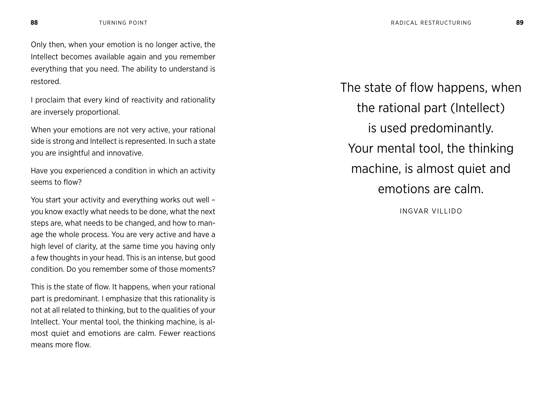Only then, when your emotion is no longer active, the Intellect becomes available again and you remember everything that you need. The ability to understand is restored.

I proclaim that every kind of reactivity and rationality are inversely proportional.

When your emotions are not very active, your rational side is strong and Intellect is represented. In such a state you are insightful and innovative.

Have you experienced a condition in which an activity seems to flow?

You start your activity and everything works out well – you know exactly what needs to be done, what the next steps are, what needs to be changed, and how to manage the whole process. You are very active and have a high level of clarity, at the same time you having only a few thoughts in your head. This is an intense, but good condition. Do you remember some of those moments?

This is the state of flow. It happens, when your rational part is predominant. I emphasize that this rationality is not at all related to thinking, but to the qualities of your Intellect. Your mental tool, the thinking machine, is almost quiet and emotions are calm. Fewer reactions means more flow.

The state of flow happens, when the rational part (Intellect) is used predominantly. Your mental tool, the thinking machine, is almost quiet and emotions are calm.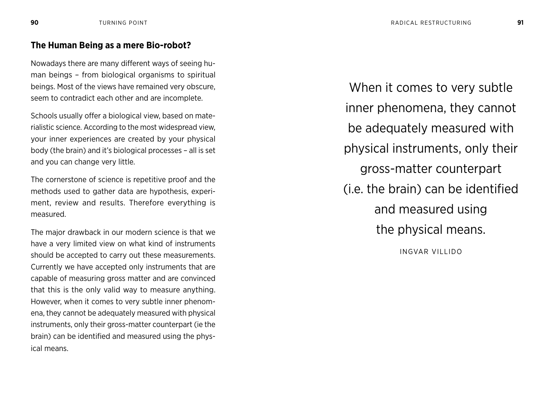#### **The Human Being as a mere Bio-robot?**

Nowadays there are many different ways of seeing human beings – from biological organisms to spiritual beings. Most of the views have remained very obscure, seem to contradict each other and are incomplete.

Schools usually offer a biological view, based on materialistic science. According to the most widespread view, your inner experiences are created by your physical body (the brain) and it's biological processes – all is set and you can change very little.

The cornerstone of science is repetitive proof and the methods used to gather data are hypothesis, experiment, review and results. Therefore everything is measured.

The major drawback in our modern science is that we have a very limited view on what kind of instruments should be accepted to carry out these measurements. Currently we have accepted only instruments that are capable of measuring gross matter and are convinced that this is the only valid way to measure anything. However, when it comes to very subtle inner phenomena, they cannot be adequately measured with physical instruments, only their gross-matter counterpart (ie the brain) can be identified and measured using the physical means.

When it comes to very subtle inner phenomena, they cannot be adequately measured with physical instruments, only their gross-matter counterpart (i.e. the brain) can be identified and measured using the physical means.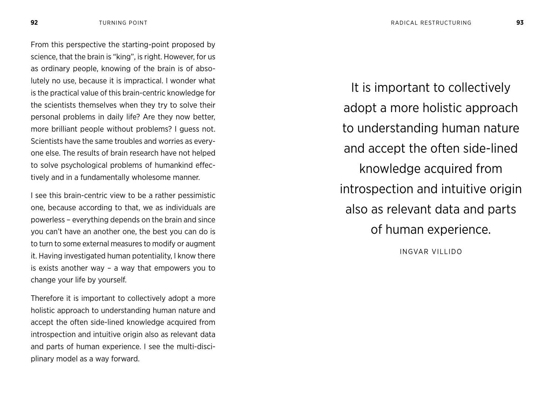From this perspective the starting-point proposed by science, that the brain is "king", is right. However, for us as ordinary people, knowing of the brain is of absolutely no use, because it is impractical. I wonder what is the practical value of this brain-centric knowledge for the scientists themselves when they try to solve their personal problems in daily life? Are they now better, more brilliant people without problems? I guess not. Scientists have the same troubles and worries as everyone else. The results of brain research have not helped to solve psychological problems of humankind effectively and in a fundamentally wholesome manner.

I see this brain-centric view to be a rather pessimistic one, because according to that, we as individuals are powerless – everything depends on the brain and since you can't have an another one, the best you can do is to turn to some external measures to modify or augment it. Having investigated human potentiality, I know there is exists another way – a way that empowers you to change your life by yourself.

Therefore it is important to collectively adopt a more holistic approach to understanding human nature and accept the often side-lined knowledge acquired from introspection and intuitive origin also as relevant data and parts of human experience. I see the multi-disciplinary model as a way forward.

It is important to collectively adopt a more holistic approach to understanding human nature and accept the often side-lined knowledge acquired from introspection and intuitive origin also as relevant data and parts of human experience.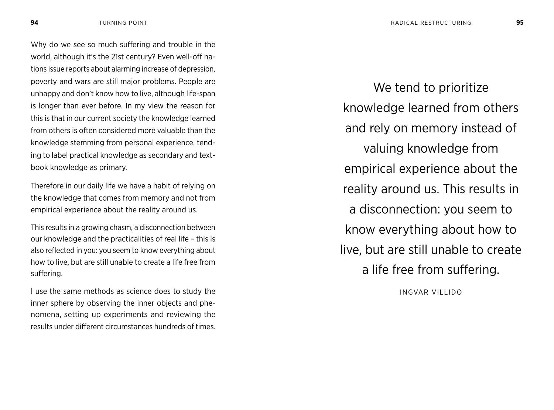Why do we see so much suffering and trouble in the world, although it's the 21st century? Even well-off nations issue reports about alarming increase of depression, poverty and wars are still major problems. People are unhappy and don't know how to live, although life-span is longer than ever before. In my view the reason for this is that in our current society the knowledge learned from others is often considered more valuable than the knowledge stemming from personal experience, tending to label practical knowledge as secondary and textbook knowledge as primary.

Therefore in our daily life we have a habit of relying on the knowledge that comes from memory and not from empirical experience about the reality around us.

This results in a growing chasm, a disconnection between our knowledge and the practicalities of real life – this is also reflected in you: you seem to know everything about how to live, but are still unable to create a life free from suffering.

I use the same methods as science does to study the inner sphere by observing the inner objects and phenomena, setting up experiments and reviewing the results under different circumstances hundreds of times.

We tend to prioritize knowledge learned from others and rely on memory instead of valuing knowledge from empirical experience about the reality around us. This results in a disconnection: you seem to know everything about how to live, but are still unable to create a life free from suffering.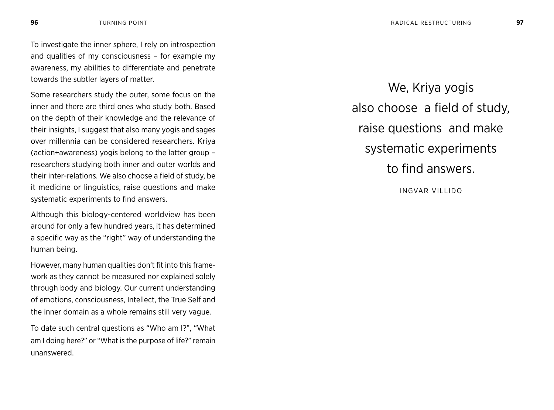To investigate the inner sphere, I rely on introspection and qualities of my consciousness – for example my awareness, my abilities to differentiate and penetrate towards the subtler layers of matter.

Some researchers study the outer, some focus on the inner and there are third ones who study both. Based on the depth of their knowledge and the relevance of their insights, I suggest that also many yogis and sages over millennia can be considered researchers. Kriya (action+awareness) yogis belong to the latter group – researchers studying both inner and outer worlds and their inter-relations. We also choose a field of study, be it medicine or linguistics, raise questions and make systematic experiments to find answers.

Although this biology-centered worldview has been around for only a few hundred years, it has determined a specific way as the "right" way of understanding the human being.

However, many human qualities don't fit into this framework as they cannot be measured nor explained solely through body and biology. Our current understanding of emotions, consciousness, Intellect, the True Self and the inner domain as a whole remains still very vague.

To date such central questions as "Who am I?", "What am I doing here?" or "What is the purpose of life?" remain unanswered.

We, Kriya yogis also choose a field of study, raise questions and make systematic experiments to find answers.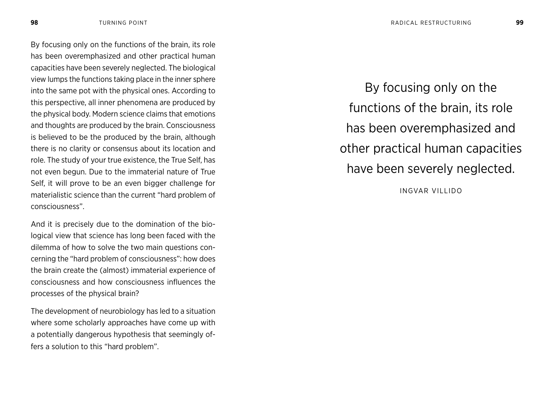By focusing only on the functions of the brain, its role has been overemphasized and other practical human capacities have been severely neglected. The biological view lumps the functions taking place in the inner sphere into the same pot with the physical ones. According to this perspective, all inner phenomena are produced by the physical body. Modern science claims that emotions and thoughts are produced by the brain. Consciousness is believed to be the produced by the brain, although there is no clarity or consensus about its location and role. The study of your true existence, the True Self, has not even begun. Due to the immaterial nature of True Self, it will prove to be an even bigger challenge for materialistic science than the current "hard problem of consciousness".

And it is precisely due to the domination of the biological view that science has long been faced with the dilemma of how to solve the two main questions concerning the "hard problem of consciousness": how does the brain create the (almost) immaterial experience of consciousness and how consciousness influences the processes of the physical brain?

The development of neurobiology has led to a situation where some scholarly approaches have come up with a potentially dangerous hypothesis that seemingly offers a solution to this "hard problem".

By focusing only on the functions of the brain, its role has been overemphasized and other practical human capacities have been severely neglected.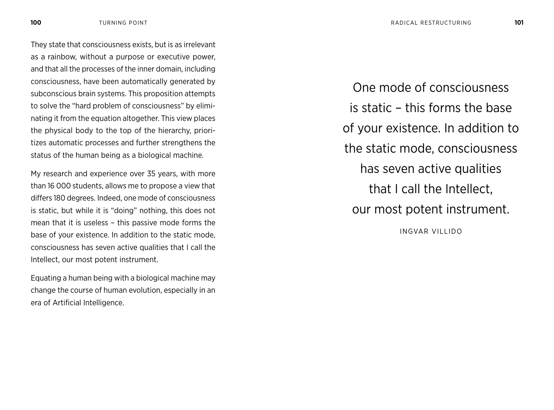They state that consciousness exists, but is as irrelevant as a rainbow, without a purpose or executive power, and that all the processes of the inner domain, including consciousness, have been automatically generated by subconscious brain systems. This proposition attempts to solve the "hard problem of consciousness" by eliminating it from the equation altogether. This view places the physical body to the top of the hierarchy, prioritizes automatic processes and further strengthens the status of the human being as a biological machine.

My research and experience over 35 years, with more than 16 000 students, allows me to propose a view that differs 180 degrees. Indeed, one mode of consciousness is static, but while it is "doing" nothing, this does not mean that it is useless – this passive mode forms the base of your existence. In addition to the static mode, consciousness has seven active qualities that I call the Intellect, our most potent instrument.

Equating a human being with a biological machine may change the course of human evolution, especially in an era of Artificial Intelligence.

One mode of consciousness is static – this forms the base of your existence. In addition to the static mode, consciousness has seven active qualities that I call the Intellect, our most potent instrument.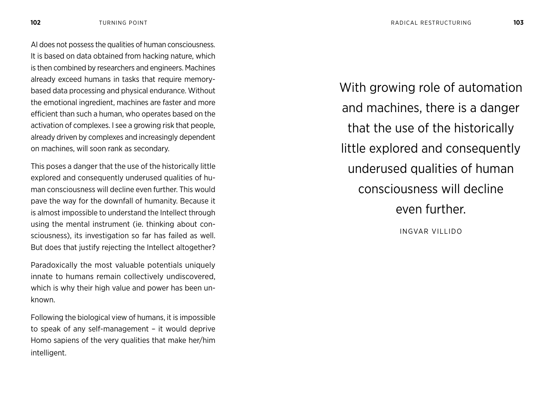AI does not possess the qualities of human consciousness. It is based on data obtained from hacking nature, which is then combined by researchers and engineers. Machines already exceed humans in tasks that require memorybased data processing and physical endurance. Without the emotional ingredient, machines are faster and more efficient than such a human, who operates based on the activation of complexes. I see a growing risk that people, already driven by complexes and increasingly dependent on machines, will soon rank as secondary.

This poses a danger that the use of the historically little explored and consequently underused qualities of human consciousness will decline even further. This would pave the way for the downfall of humanity. Because it is almost impossible to understand the Intellect through using the mental instrument (ie. thinking about consciousness), its investigation so far has failed as well. But does that justify rejecting the Intellect altogether?

Paradoxically the most valuable potentials uniquely innate to humans remain collectively undiscovered, which is why their high value and power has been unknown.

Following the biological view of humans, it is impossible to speak of any self-management – it would deprive Homo sapiens of the very qualities that make her/him intelligent.

With growing role of automation and machines, there is a danger that the use of the historically little explored and consequently underused qualities of human consciousness will decline even further.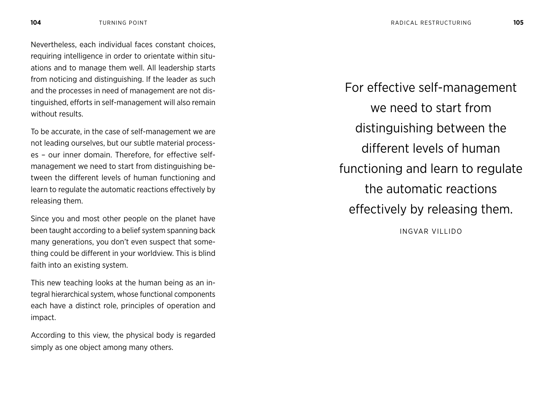Nevertheless, each individual faces constant choices, requiring intelligence in order to orientate within situations and to manage them well. All leadership starts from noticing and distinguishing. If the leader as such and the processes in need of management are not distinguished, efforts in self-management will also remain without results.

To be accurate, in the case of self-management we are not leading ourselves, but our subtle material processes – our inner domain. Therefore, for effective selfmanagement we need to start from distinguishing between the different levels of human functioning and learn to regulate the automatic reactions effectively by releasing them.

Since you and most other people on the planet have been taught according to a belief system spanning back many generations, you don't even suspect that something could be different in your worldview. This is blind faith into an existing system.

This new teaching looks at the human being as an integral hierarchical system, whose functional components each have a distinct role, principles of operation and impact.

According to this view, the physical body is regarded simply as one object among many others.

For effective self-management we need to start from distinguishing between the different levels of human functioning and learn to regulate the automatic reactions effectively by releasing them.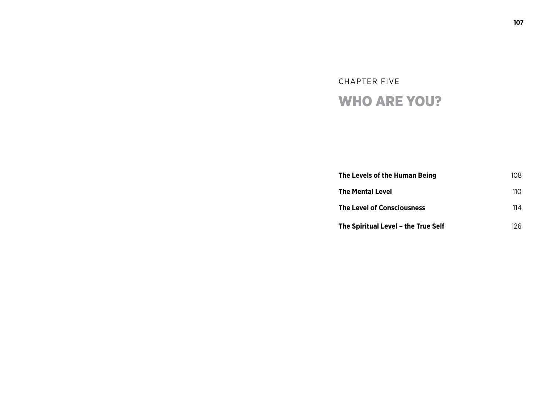# CHAPTER FIVE WHO ARE YOU?

| The Levels of the Human Being       | 108 |
|-------------------------------------|-----|
| The Mental Level                    | 110 |
| <b>The Level of Consciousness</b>   | 114 |
| The Spiritual Level - the True Self | 126 |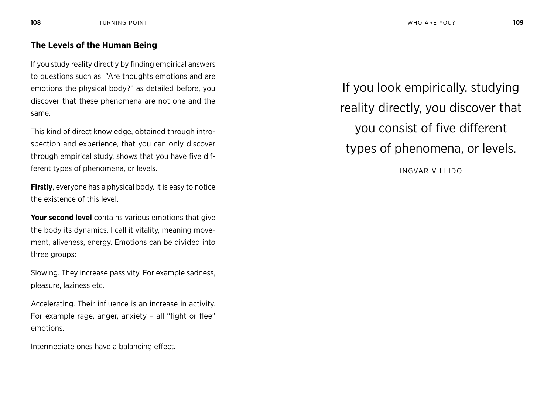#### **The Levels of the Human Being**

If you study reality directly by finding empirical answers to questions such as: "Are thoughts emotions and are emotions the physical body?" as detailed before, you discover that these phenomena are not one and the same.

This kind of direct knowledge, obtained through introspection and experience, that you can only discover through empirical study, shows that you have five different types of phenomena, or levels.

**Firstly**, everyone has a physical body. It is easy to notice the existence of this level.

**Your second level** contains various emotions that give the body its dynamics. I call it vitality, meaning movement, aliveness, energy. Emotions can be divided into three groups:

Slowing. They increase passivity. For example sadness, pleasure, laziness etc.

Accelerating. Their influence is an increase in activity. For example rage, anger, anxiety – all "fight or flee" emotions.

Intermediate ones have a balancing effect.

If you look empirically, studying reality directly, you discover that you consist of five different types of phenomena, or levels.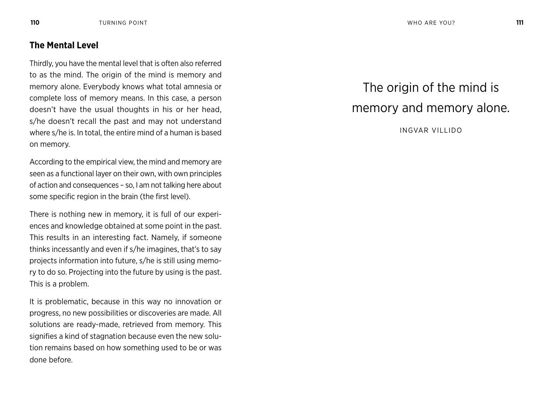### **The Mental Level**

Thirdly, you have the mental level that is often also referred to as the mind. The origin of the mind is memory and memory alone. Everybody knows what total amnesia or complete loss of memory means. In this case, a person doesn't have the usual thoughts in his or her head, s/he doesn't recall the past and may not understand where s/he is. In total, the entire mind of a human is based on memory.

According to the empirical view, the mind and memory are seen as a functional layer on their own, with own principles of action and consequences – so, I am not talking here about some specific region in the brain (the first level).

There is nothing new in memory, it is full of our experiences and knowledge obtained at some point in the past. This results in an interesting fact. Namely, if someone thinks incessantly and even if s/he imagines, that's to say projects information into future, s/he is still using memory to do so. Projecting into the future by using is the past. This is a problem.

It is problematic, because in this way no innovation or progress, no new possibilities or discoveries are made. All solutions are ready-made, retrieved from memory. This signifies a kind of stagnation because even the new solution remains based on how something used to be or was done before.

# The origin of the mind is memory and memory alone.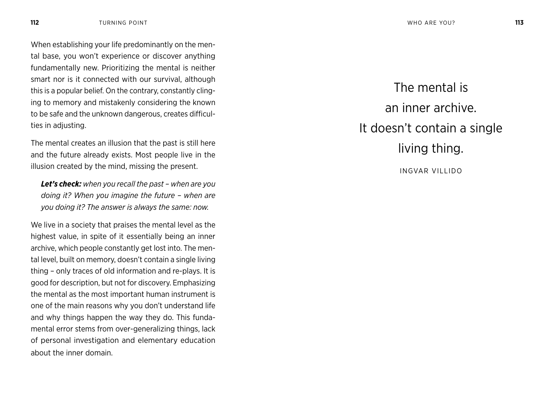When establishing your life predominantly on the mental base, you won't experience or discover anything fundamentally new. Prioritizing the mental is neither smart nor is it connected with our survival, although this is a popular belief. On the contrary, constantly clinging to memory and mistakenly considering the known to be safe and the unknown dangerous, creates difficulties in adjusting.

The mental creates an illusion that the past is still here and the future already exists. Most people live in the illusion created by the mind, missing the present.

*Let's check: when you recall the past – when are you doing it? When you imagine the future – when are you doing it? The answer is always the same: now.*

We live in a society that praises the mental level as the highest value, in spite of it essentially being an inner archive, which people constantly get lost into. The mental level, built on memory, doesn't contain a single living thing – only traces of old information and re-plays. It is good for description, but not for discovery. Emphasizing the mental as the most important human instrument is one of the main reasons why you don't understand life and why things happen the way they do. This fundamental error stems from over-generalizing things, lack of personal investigation and elementary education about the inner domain.

The mental is an inner archive. It doesn't contain a single living thing. INGVAR VILLIDO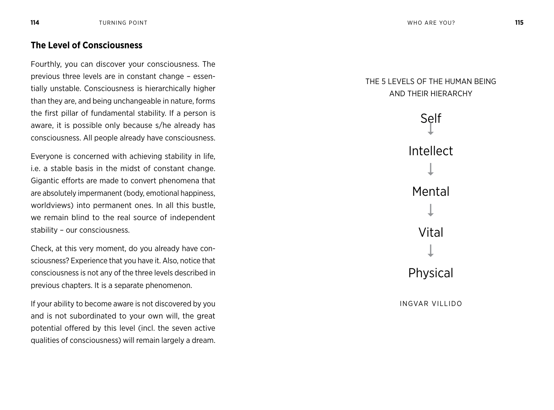### **The Level of Consciousness**

Fourthly, you can discover your consciousness. The previous three levels are in constant change – essen tially unstable. Consciousness is hierarchically higher than they are, and being unchangeable in nature, forms the first pillar of fundamental stability. If a person is aware, it is possible only because s/he already has consciousness. All people already have consciousness.

Everyone is concerned with achieving stability in life, i.e. a stable basis in the midst of constant change. Gigantic efforts are made to convert phenomena that are absolutely impermanent (body, emotional happiness, worldviews) into permanent ones. In all this bustle, we remain blind to the real source of independent stability – our consciousness.

Check, at this very moment, do you already have con sciousness? Experience that you have it. Also, notice that consciousness is not any of the three levels described in previous chapters. It is a separate phenomenon.

If your ability to become aware is not discovered by you and is not subordinated to your own will, the great potential offered by this level (incl. the seven active qualities of consciousness) will remain largely a dream.

### THE 5 LEVELS OF THE HUMAN B AND THEIR HIERARC

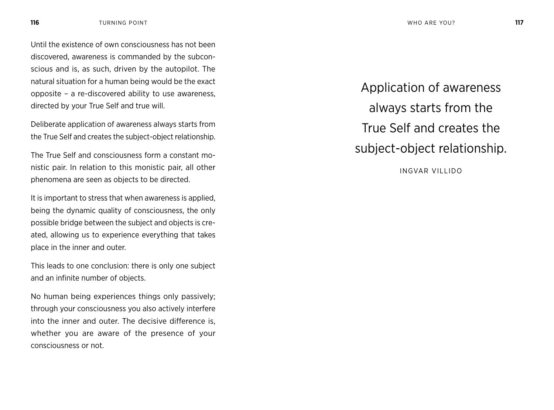Until the existence of own consciousness has not been discovered, awareness is commanded by the subconscious and is, as such, driven by the autopilot. The natural situation for a human being would be the exact opposite – a re-discovered ability to use awareness, directed by your True Self and true will.

Deliberate application of awareness always starts from the True Self and creates the subject-object relationship.

The True Self and consciousness form a constant monistic pair. In relation to this monistic pair, all other phenomena are seen as objects to be directed.

It is important to stress that when awareness is applied, being the dynamic quality of consciousness, the only possible bridge between the subject and objects is created, allowing us to experience everything that takes place in the inner and outer.

This leads to one conclusion: there is only one subject and an infinite number of objects.

No human being experiences things only passively; through your consciousness you also actively interfere into the inner and outer. The decisive difference is, whether you are aware of the presence of your consciousness or not.

Application of awareness always starts from the True Self and creates the subject-object relationship.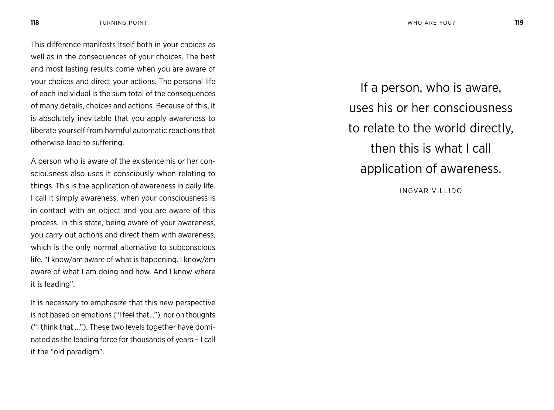This difference manifests itself both in your choices as well as in the consequences of your choices. The best and most lasting results come when you are aware of your choices and direct your actions. The personal life of each individual is the sum total of the consequences of many details, choices and actions. Because of this, it is absolutely inevitable that you apply awareness to liberate yourself from harmful automatic reactions that otherwise lead to suffering.

A person who is aware of the existence his or her consciousness also uses it consciously when relating to things. This is the application of awareness in daily life. I call it simply awareness, when your consciousness is in contact with an object and you are aware of this process. In this state, being aware of your awareness, you carry out actions and direct them with awareness, which is the only normal alternative to subconscious life. "I know/am aware of what is happening. I know/am aware of what I am doing and how. And I know where it is leading".

It is necessary to emphasize that this new perspective is not based on emotions ("I feel that…"), nor on thoughts ("I think that …"). These two levels together have dominated as the leading force for thousands of years – I call it the "old paradigm".

If a person, who is aware, uses his or her consciousness to relate to the world directly, then this is what I call application of awareness.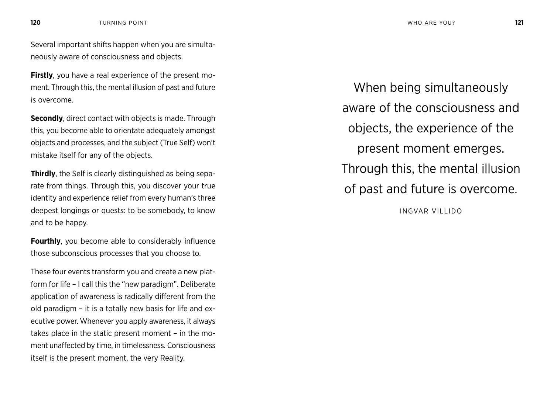Several important shifts happen when you are simultaneously aware of consciousness and objects.

**Firstly**, you have a real experience of the present moment. Through this, the mental illusion of past and future is overcome.

**Secondly**, direct contact with objects is made. Through this, you become able to orientate adequately amongst objects and processes, and the subject (True Self) won't mistake itself for any of the objects.

**Thirdly**, the Self is clearly distinguished as being separate from things. Through this, you discover your true identity and experience relief from every human's three deepest longings or quests: to be somebody, to know and to be happy.

**Fourthly**, you become able to considerably influence those subconscious processes that you choose to.

These four events transform you and create a new platform for life – I call this the "new paradigm". Deliberate application of awareness is radically different from the old paradigm – it is a totally new basis for life and executive power. Whenever you apply awareness, it always takes place in the static present moment – in the moment unaffected by time, in timelessness. Consciousness itself is the present moment, the very Reality.

When being simultaneously aware of the consciousness and objects, the experience of the present moment emerges. Through this, the mental illusion of past and future is overcome. INGVAR VILLIDO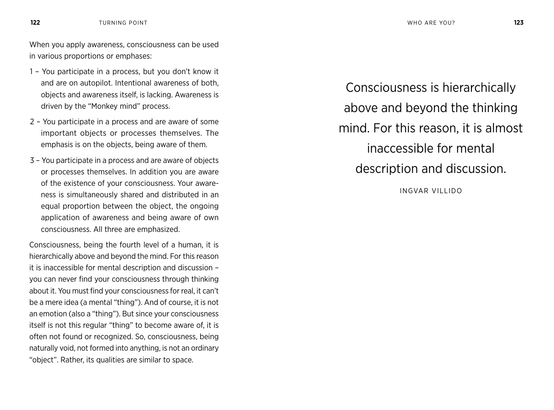When you apply awareness, consciousness can be used in various proportions or emphases:

- 1 You participate in a process, but you don't know it and are on autopilot. Intentional awareness of both, objects and awareness itself, is lacking. Awareness is driven by the "Monkey mind" process.
- 2 You participate in a process and are aware of some important objects or processes themselves. The emphasis is on the objects, being aware of them.
- 3 You participate in a process and are aware of objects or processes themselves. In addition you are aware of the existence of your consciousness. Your awareness is simultaneously shared and distributed in an equal proportion between the object, the ongoing application of awareness and being aware of own consciousness. All three are emphasized.

Consciousness, being the fourth level of a human, it is hierarchically above and beyond the mind. For this reason it is inaccessible for mental description and discussion – you can never find your consciousness through thinking about it. You must find your consciousness for real, it can't be a mere idea (a mental "thing"). And of course, it is not an emotion (also a "thing"). But since your consciousness itself is not this regular "thing" to become aware of, it is often not found or recognized. So, consciousness, being naturally void, not formed into anything, is not an ordinary "object". Rather, its qualities are similar to space.

Consciousness is hierarchically above and beyond the thinking mind. For this reason, it is almost inaccessible for mental description and discussion.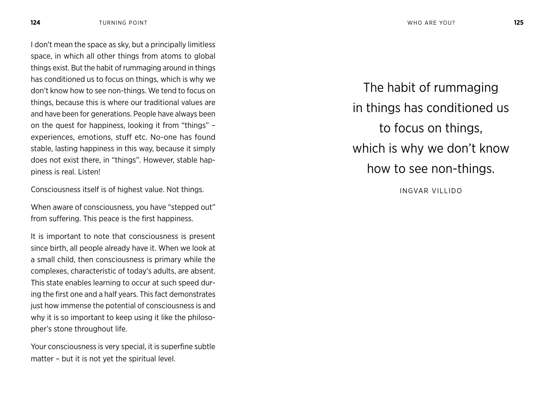I don't mean the space as sky, but a principally limitless space, in which all other things from atoms to global things exist. But the habit of rummaging around in things has conditioned us to focus on things, which is why we don't know how to see non-things. We tend to focus on things, because this is where our traditional values are and have been for generations. People have always been on the quest for happiness, looking it from "things" – experiences, emotions, stuff etc. No-one has found stable, lasting happiness in this way, because it simply does not exist there, in "things". However, stable happiness is real. Listen!

Consciousness itself is of highest value. Not things.

When aware of consciousness, you have "stepped out" from suffering. This peace is the first happiness.

It is important to note that consciousness is present since birth, all people already have it. When we look at a small child, then consciousness is primary while the complexes, characteristic of today's adults, are absent. This state enables learning to occur at such speed during the first one and a half years. This fact demonstrates just how immense the potential of consciousness is and why it is so important to keep using it like the philosopher's stone throughout life.

Your consciousness is very special, it is superfine subtle matter – but it is not yet the spiritual level.

The habit of rummaging in things has conditioned us to focus on things, which is why we don't know how to see non-things.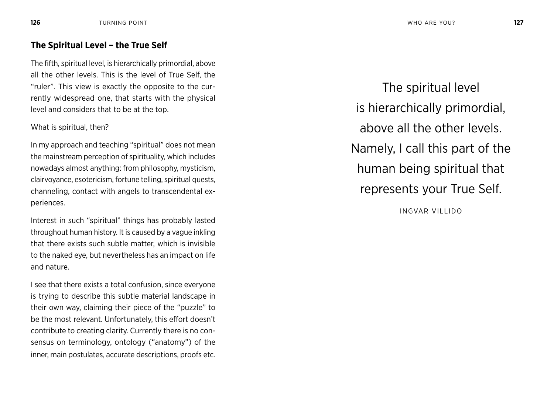#### **The Spiritual Level – the True Self**

The fifth, spiritual level, is hierarchically primordial, above all the other levels. This is the level of True Self, the "ruler". This view is exactly the opposite to the currently widespread one, that starts with the physical level and considers that to be at the top.

What is spiritual, then?

In my approach and teaching "spiritual" does not mean the mainstream perception of spirituality, which includes nowadays almost anything: from philosophy, mysticism, clairvoyance, esotericism, fortune telling, spiritual quests, channeling, contact with angels to transcendental experiences.

Interest in such "spiritual" things has probably lasted throughout human history. It is caused by a vague inkling that there exists such subtle matter, which is invisible to the naked eye, but nevertheless has an impact on life and nature.

I see that there exists a total confusion, since everyone is trying to describe this subtle material landscape in their own way, claiming their piece of the "puzzle" to be the most relevant. Unfortunately, this effort doesn't contribute to creating clarity. Currently there is no consensus on terminology, ontology ("anatomy") of the inner, main postulates, accurate descriptions, proofs etc.

The spiritual level is hierarchically primordial, above all the other levels. Namely, I call this part of the human being spiritual that represents your True Self.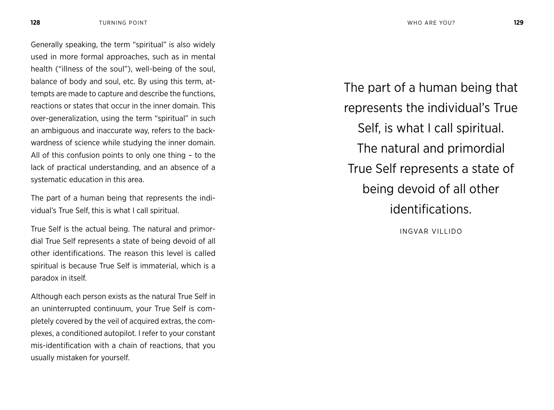Generally speaking, the term "spiritual" is also widely used in more formal approaches, such as in mental health ("illness of the soul"), well-being of the soul, balance of body and soul, etc. By using this term, attempts are made to capture and describe the functions, reactions or states that occur in the inner domain. This over-generalization, using the term "spiritual" in such an ambiguous and inaccurate way, refers to the backwardness of science while studying the inner domain. All of this confusion points to only one thing – to the lack of practical understanding, and an absence of a systematic education in this area.

The part of a human being that represents the individual's True Self, this is what I call spiritual.

True Self is the actual being. The natural and primordial True Self represents a state of being devoid of all other identifications. The reason this level is called spiritual is because True Self is immaterial, which is a paradox in itself.

Although each person exists as the natural True Self in an uninterrupted continuum, your True Self is completely covered by the veil of acquired extras, the complexes, a conditioned autopilot. I refer to your constant mis-identification with a chain of reactions, that you usually mistaken for yourself.

The part of a human being that represents the individual's True Self, is what I call spiritual. The natural and primordial True Self represents a state of being devoid of all other identifications.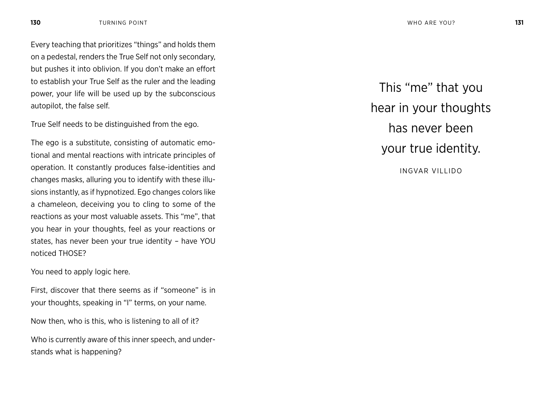Every teaching that prioritizes "things" and holds them on a pedestal, renders the True Self not only secondary, but pushes it into oblivion. If you don't make an effort to establish your True Self as the ruler and the leading power, your life will be used up by the subconscious autopilot, the false self.

True Self needs to be distinguished from the ego.

The ego is a substitute, consisting of automatic emotional and mental reactions with intricate principles of operation. It constantly produces false-identities and changes masks, alluring you to identify with these illusions instantly, as if hypnotized. Ego changes colors like a chameleon, deceiving you to cling to some of the reactions as your most valuable assets. This "me", that you hear in your thoughts, feel as your reactions or states, has never been your true identity – have YOU noticed THOSE?

You need to apply logic here.

First, discover that there seems as if "someone" is in your thoughts, speaking in "I" terms, on your name.

Now then, who is this, who is listening to all of it?

Who is currently aware of this inner speech, and understands what is happening?

This "me" that you hear in your thoughts has never been your true identity. INGVAR VILLIDO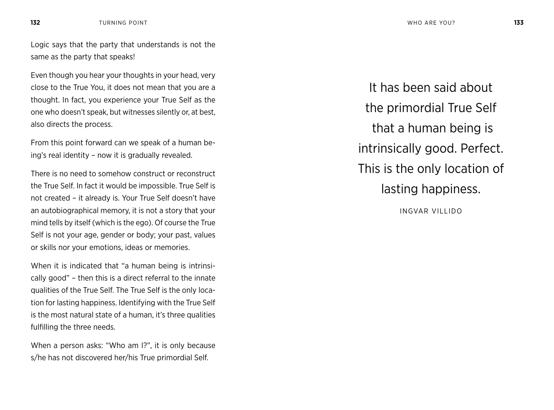Logic says that the party that understands is not the same as the party that speaks!

Even though you hear your thoughts in your head, very close to the True You, it does not mean that you are a thought. In fact, you experience your True Self as the one who doesn't speak, but witnesses silently or, at best, also directs the process.

From this point forward can we speak of a human being's real identity – now it is gradually revealed.

There is no need to somehow construct or reconstruct the True Self. In fact it would be impossible. True Self is not created – it already is. Your True Self doesn't have an autobiographical memory, it is not a story that your mind tells by itself (which is the ego). Of course the True Self is not your age, gender or body; your past, values or skills nor your emotions, ideas or memories.

When it is indicated that "a human being is intrinsically good" – then this is a direct referral to the innate qualities of the True Self. The True Self is the only location for lasting happiness. Identifying with the True Self is the most natural state of a human, it's three qualities fulfilling the three needs.

When a person asks: "Who am I?", it is only because s/he has not discovered her/his True primordial Self.

It has been said about the primordial True Self that a human being is intrinsically good. Perfect. This is the only location of lasting happiness.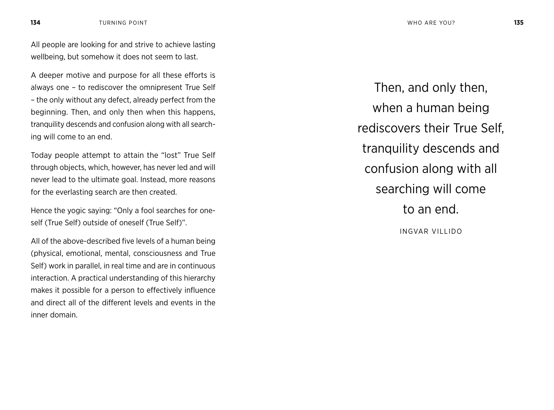All people are looking for and strive to achieve lasting wellbeing, but somehow it does not seem to last.

A deeper motive and purpose for all these efforts is always one – to rediscover the omnipresent True Self – the only without any defect, already perfect from the beginning. Then, and only then when this happens, tranquility descends and confusion along with all searching will come to an end.

Today people attempt to attain the "lost" True Self through objects, which, however, has never led and will never lead to the ultimate goal. Instead, more reasons for the everlasting search are then created.

Hence the yogic saying: "Only a fool searches for oneself (True Self) outside of oneself (True Self)".

All of the above-described five levels of a human being (physical, emotional, mental, consciousness and True Self) work in parallel, in real time and are in continuous interaction. A practical understanding of this hierarchy makes it possible for a person to effectively influence and direct all of the different levels and events in the inner domain.

Then, and only then, when a human being rediscovers their True Self, tranquility descends and confusion along with all searching will come to an end. INGVAR VILLIDO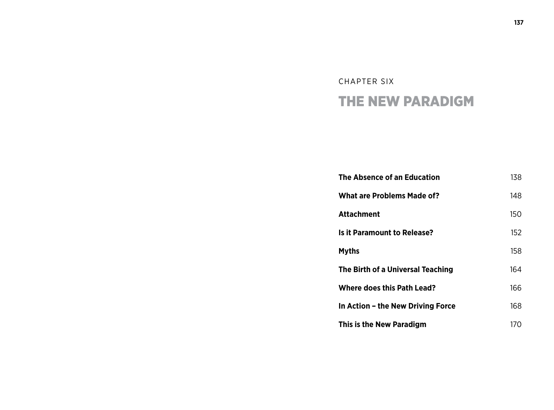## CHAPTER SIX THE NEW PARADIGM

| The Absence of an Education        | 138 |
|------------------------------------|-----|
| <b>What are Problems Made of?</b>  | 148 |
| Attachment                         | 150 |
| <b>Is it Paramount to Release?</b> | 152 |
| <b>Myths</b>                       | 158 |
| The Birth of a Universal Teaching  | 164 |
| <b>Where does this Path Lead?</b>  | 166 |
| In Action - the New Driving Force  | 168 |
| This is the New Paradigm           | 170 |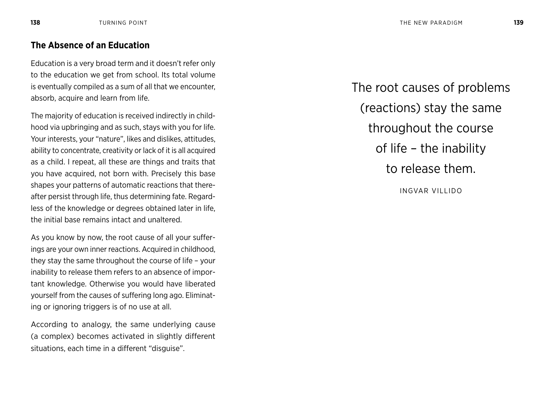Education is a very broad term and it doesn't refer only to the education we get from school. Its total volume is eventually compiled as a sum of all that we encounter, absorb, acquire and learn from life.

The majority of education is received indirectly in childhood via upbringing and as such, stays with you for life. Your interests, your "nature", likes and dislikes, attitudes, ability to concentrate, creativity or lack of it is all acquired as a child. I repeat, all these are things and traits that you have acquired, not born with. Precisely this base shapes your patterns of automatic reactions that thereafter persist through life, thus determining fate. Regardless of the knowledge or degrees obtained later in life, the initial base remains intact and unaltered.

As you know by now, the root cause of all your sufferings are your own inner reactions. Acquired in childhood, they stay the same throughout the course of life – your inability to release them refers to an absence of important knowledge. Otherwise you would have liberated yourself from the causes of suffering long ago. Eliminating or ignoring triggers is of no use at all.

According to analogy, the same underlying cause (a complex) becomes activated in slightly different situations, each time in a different "disguise".

The root causes of problems (reactions) stay the same throughout the course of life – the inability to release them.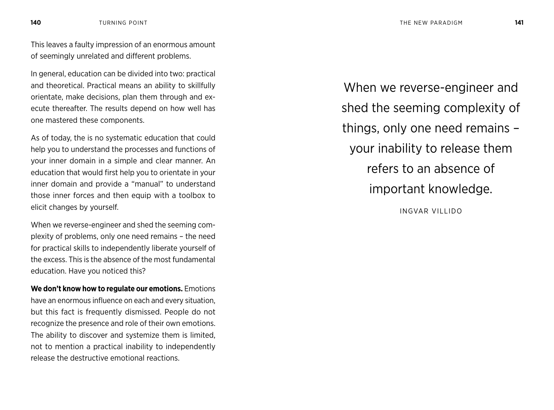This leaves a faulty impression of an enormous amount of seemingly unrelated and different problems.

In general, education can be divided into two: practical and theoretical. Practical means an ability to skillfully orientate, make decisions, plan them through and execute thereafter. The results depend on how well has one mastered these components.

As of today, the is no systematic education that could help you to understand the processes and functions of your inner domain in a simple and clear manner. An education that would first help you to orientate in your inner domain and provide a "manual" to understand those inner forces and then equip with a toolbox to elicit changes by yourself.

When we reverse-engineer and shed the seeming complexity of problems, only one need remains – the need for practical skills to independently liberate yourself of the excess. This is the absence of the most fundamental education. Have you noticed this?

**We don't know how to regulate our emotions.** Emotions have an enormous influence on each and every situation, but this fact is frequently dismissed. People do not recognize the presence and role of their own emotions. The ability to discover and systemize them is limited, not to mention a practical inability to independently release the destructive emotional reactions.

When we reverse-engineer and shed the seeming complexity of things, only one need remains – your inability to release them refers to an absence of important knowledge.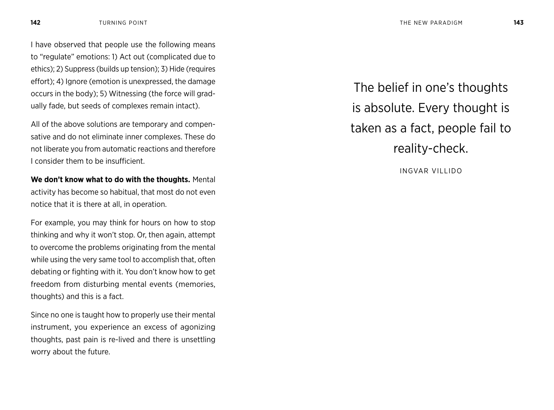I have observed that people use the following means to "regulate" emotions: 1) Act out (complicated due to ethics); 2) Suppress (builds up tension); 3) Hide (requires effort); 4) Ignore (emotion is unexpressed, the damage occurs in the body); 5) Witnessing (the force will gradually fade, but seeds of complexes remain intact).

All of the above solutions are temporary and compensative and do not eliminate inner complexes. These do not liberate you from automatic reactions and therefore I consider them to be insufficient.

**We don't know what to do with the thoughts.** Mental activity has become so habitual, that most do not even notice that it is there at all, in operation.

For example, you may think for hours on how to stop thinking and why it won't stop. Or, then again, attempt to overcome the problems originating from the mental while using the very same tool to accomplish that, often debating or fighting with it. You don't know how to get freedom from disturbing mental events (memories, thoughts) and this is a fact.

Since no one is taught how to properly use their mental instrument, you experience an excess of agonizing thoughts, past pain is re-lived and there is unsettling worry about the future.

The belief in one's thoughts is absolute. Every thought is taken as a fact, people fail to reality-check.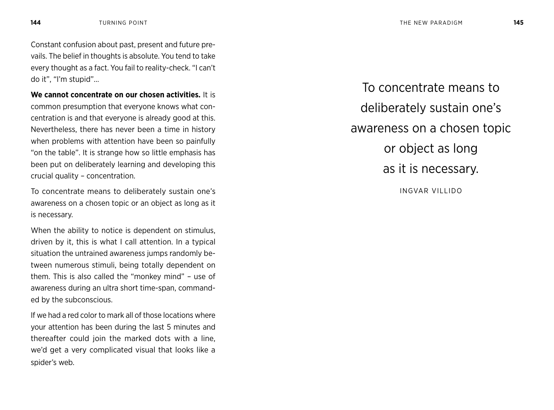Constant confusion about past, present and future prevails. The belief in thoughts is absolute. You tend to take every thought as a fact. You fail to reality-check. "I can't do it", "I'm stupid"…

**We cannot concentrate on our chosen activities.** It is common presumption that everyone knows what concentration is and that everyone is already good at this. Nevertheless, there has never been a time in history when problems with attention have been so painfully "on the table". It is strange how so little emphasis has been put on deliberately learning and developing this crucial quality – concentration.

To concentrate means to deliberately sustain one's awareness on a chosen topic or an object as long as it is necessary.

When the ability to notice is dependent on stimulus. driven by it, this is what I call attention. In a typical situation the untrained awareness jumps randomly between numerous stimuli, being totally dependent on them. This is also called the "monkey mind" – use of awareness during an ultra short time-span, commanded by the subconscious.

If we had a red color to mark all of those locations where your attention has been during the last 5 minutes and thereafter could join the marked dots with a line, we'd get a very complicated visual that looks like a spider's web.

To concentrate means to deliberately sustain one's awareness on a chosen topic or object as long as it is necessary. INGVAR VILLIDO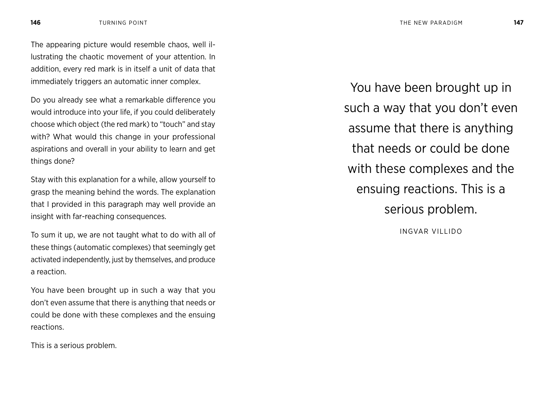The appearing picture would resemble chaos, well illustrating the chaotic movement of your attention. In addition, every red mark is in itself a unit of data that immediately triggers an automatic inner complex.

Do you already see what a remarkable difference you would introduce into your life, if you could deliberately choose which object (the red mark) to "touch" and stay with? What would this change in your professional aspirations and overall in your ability to learn and get things done?

Stay with this explanation for a while, allow yourself to grasp the meaning behind the words. The explanation that I provided in this paragraph may well provide an insight with far-reaching consequences.

To sum it up, we are not taught what to do with all of these things (automatic complexes) that seemingly get activated independently, just by themselves, and produce a reaction.

You have been brought up in such a way that you don't even assume that there is anything that needs or could be done with these complexes and the ensuing reactions.

This is a serious problem.

You have been brought up in such a way that you don't even assume that there is anything that needs or could be done with these complexes and the ensuing reactions. This is a serious problem.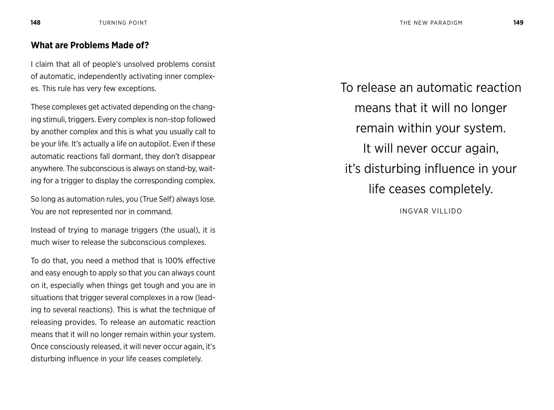## **What are Problems Made of?**

I claim that all of people's unsolved problems consist of automatic, independently activating inner complexes. This rule has very few exceptions.

These complexes get activated depending on the changing stimuli, triggers. Every complex is non-stop followed by another complex and this is what you usually call to be your life. It's actually a life on autopilot. Even if these automatic reactions fall dormant, they don't disappear anywhere. The subconscious is always on stand-by, waiting for a trigger to display the corresponding complex.

So long as automation rules, you (True Self) always lose. You are not represented nor in command.

Instead of trying to manage triggers (the usual), it is much wiser to release the subconscious complexes.

To do that, you need a method that is 100% effective and easy enough to apply so that you can always count on it, especially when things get tough and you are in situations that trigger several complexes in a row (leading to several reactions). This is what the technique of releasing provides. To release an automatic reaction means that it will no longer remain within your system. Once consciously released, it will never occur again, it's disturbing influence in your life ceases completely.

To release an automatic reaction means that it will no longer remain within your system. It will never occur again, it's disturbing influence in your life ceases completely. INGVAR VILLIDO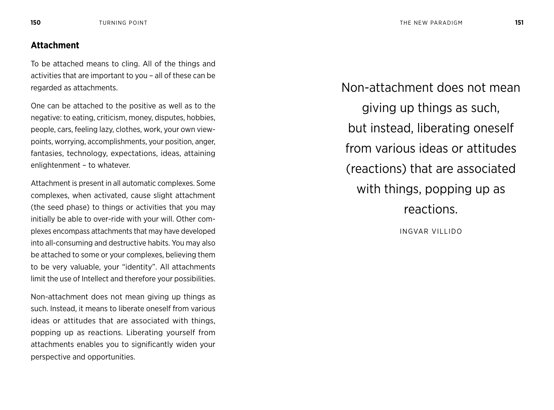### **Attachment**

To be attached means to cling. All of the things and activities that are important to you – all of these can be regarded as attachments.

One can be attached to the positive as well as to the negative: to eating, criticism, money, disputes, hobbies, people, cars, feeling lazy, clothes, work, your own viewpoints, worrying, accomplishments, your position, anger, fantasies, technology, expectations, ideas, attaining enlightenment – to whatever.

Attachment is present in all automatic complexes. Some complexes, when activated, cause slight attachment (the seed phase) to things or activities that you may initially be able to over-ride with your will. Other complexes encompass attachments that may have developed into all-consuming and destructive habits. You may also be attached to some or your complexes, believing them to be very valuable, your "identity". All attachments limit the use of Intellect and therefore your possibilities.

Non-attachment does not mean giving up things as such. Instead, it means to liberate oneself from various ideas or attitudes that are associated with things, popping up as reactions. Liberating yourself from attachments enables you to significantly widen your perspective and opportunities.

Non-attachment does not mean giving up things as such, but instead, liberating oneself from various ideas or attitudes (reactions) that are associated with things, popping up as reactions. INGVAR VILLIDO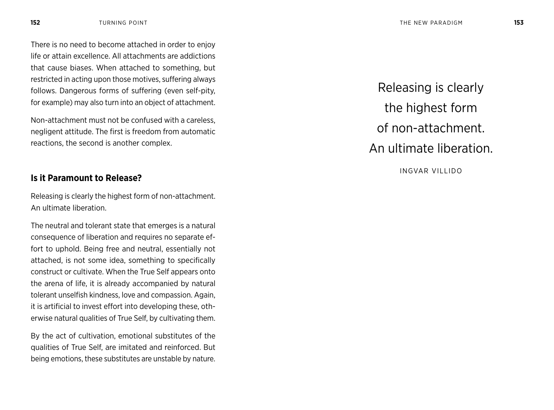There is no need to become attached in order to enjoy life or attain excellence. All attachments are addictions that cause biases. When attached to something, but restricted in acting upon those motives, suffering always follows. Dangerous forms of suffering (even self-pity, for example) may also turn into an object of attachment.

Non-attachment must not be confused with a careless, negligent attitude. The first is freedom from automatic reactions, the second is another complex.

## **Is it Paramount to Release?**

Releasing is clearly the highest form of non-attachment. An ultimate liberation.

The neutral and tolerant state that emerges is a natural consequence of liberation and requires no separate effort to uphold. Being free and neutral, essentially not attached, is not some idea, something to specifically construct or cultivate. When the True Self appears onto the arena of life, it is already accompanied by natural tolerant unselfish kindness, love and compassion. Again, it is artificial to invest effort into developing these, otherwise natural qualities of True Self, by cultivating them.

By the act of cultivation, emotional substitutes of the qualities of True Self, are imitated and reinforced. But being emotions, these substitutes are unstable by nature.

Releasing is clearly the highest form of non-attachment. An ultimate liberation.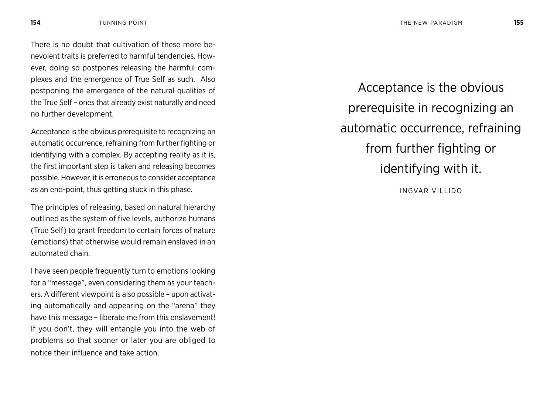There is no doubt that cultivation of these more benevolent traits is preferred to harmful tendencies. However, doing so postpones releasing the harmful complexes and the emergence of True Self as such. Also postponing the emergence of the natural qualities of the True Self – ones that already exist naturally and need no further development.

Acceptance is the obvious prerequisite to recognizing an automatic occurrence, refraining from further fighting or identifying with a complex. By accepting reality as it is, the first important step is taken and releasing becomes possible. However, it is erroneous to consider acceptance as an end-point, thus getting stuck in this phase.

The principles of releasing, based on natural hierarchy outlined as the system of five levels, authorize humans (True Self) to grant freedom to certain forces of nature (emotions) that otherwise would remain enslaved in an automated chain.

I have seen people frequently turn to emotions looking for a "message", even considering them as your teachers. A different viewpoint is also possible – upon activating automatically and appearing on the "arena" they have this message – liberate me from this enslavement! If you don't, they will entangle you into the web of problems so that sooner or later you are obliged to notice their influence and take action.

Acceptance is the obvious prerequisite in recognizing an automatic occurrence, refraining from further fighting or identifying with it.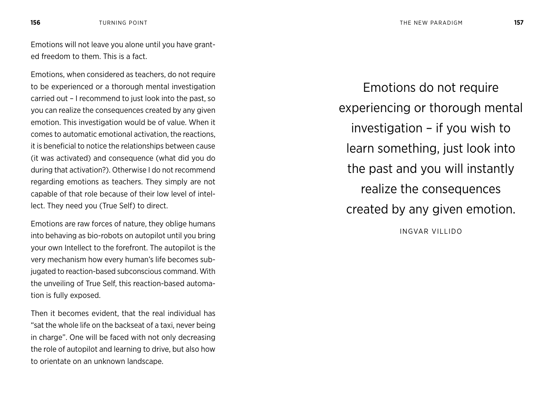Emotions will not leave you alone until you have granted freedom to them. This is a fact.

Emotions, when considered as teachers, do not require to be experienced or a thorough mental investigation carried out – I recommend to just look into the past, so you can realize the consequences created by any given emotion. This investigation would be of value. When it comes to automatic emotional activation, the reactions, it is beneficial to notice the relationships between cause (it was activated) and consequence (what did you do during that activation?). Otherwise I do not recommend regarding emotions as teachers. They simply are not capable of that role because of their low level of intellect. They need you (True Self) to direct.

Emotions are raw forces of nature, they oblige humans into behaving as bio-robots on autopilot until you bring your own Intellect to the forefront. The autopilot is the very mechanism how every human's life becomes subjugated to reaction-based subconscious command. With the unveiling of True Self, this reaction-based automation is fully exposed.

Then it becomes evident, that the real individual has "sat the whole life on the backseat of a taxi, never being in charge". One will be faced with not only decreasing the role of autopilot and learning to drive, but also how to orientate on an unknown landscape.

Emotions do not require experiencing or thorough mental investigation – if you wish to learn something, just look into the past and you will instantly realize the consequences created by any given emotion.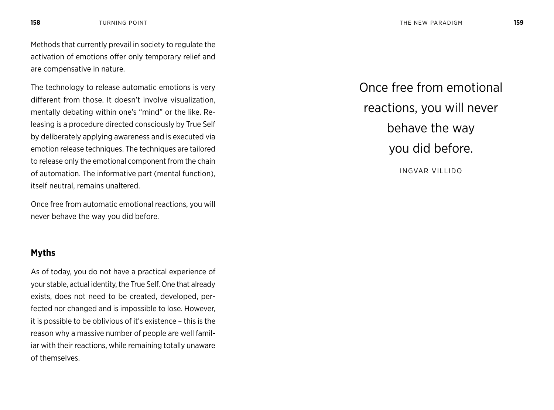Methods that currently prevail in society to regulate the activation of emotions offer only temporary relief and are compensative in nature.

The technology to release automatic emotions is very different from those. It doesn't involve visualization, mentally debating within one's "mind" or the like. Releasing is a procedure directed consciously by True Self by deliberately applying awareness and is executed via emotion release techniques. The techniques are tailored to release only the emotional component from the chain of automation. The informative part (mental function), itself neutral, remains unaltered.

Once free from automatic emotional reactions, you will never behave the way you did before.

## **Myths**

As of today, you do not have a practical experience of your stable, actual identity, the True Self. One that already exists, does not need to be created, developed, perfected nor changed and is impossible to lose. However, it is possible to be oblivious of it's existence – this is the reason why a massive number of people are well familiar with their reactions, while remaining totally unaware of themselves.

Once free from emotional reactions, you will never behave the way you did before. INGVAR VILLIDO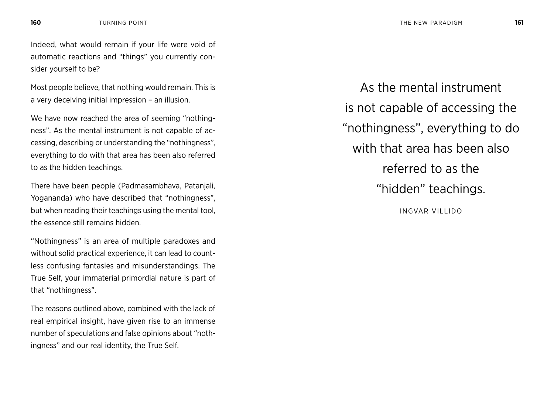Indeed, what would remain if your life were void of automatic reactions and "things" you currently consider yourself to be?

Most people believe, that nothing would remain. This is a very deceiving initial impression – an illusion.

We have now reached the area of seeming "nothingness". As the mental instrument is not capable of accessing, describing or understanding the "nothingness", everything to do with that area has been also referred to as the hidden teachings.

There have been people (Padmasambhava, Patanjali, Yogananda) who have described that "nothingness", but when reading their teachings using the mental tool, the essence still remains hidden.

"Nothingness" is an area of multiple paradoxes and without solid practical experience, it can lead to countless confusing fantasies and misunderstandings. The True Self, your immaterial primordial nature is part of that "nothingness".

The reasons outlined above, combined with the lack of real empirical insight, have given rise to an immense number of speculations and false opinions about "nothingness" and our real identity, the True Self.

As the mental instrument is not capable of accessing the "nothingness", everything to do with that area has been also referred to as the "hidden" teachings. INGVAR VILLIDO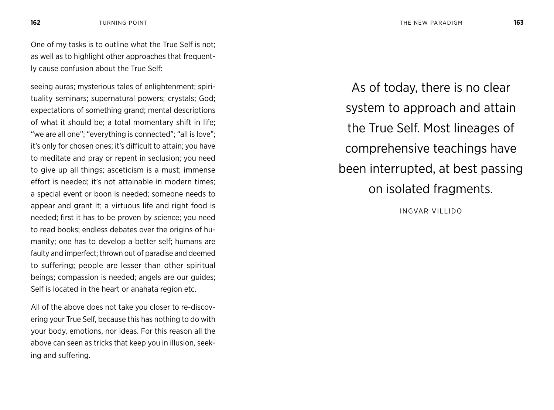One of my tasks is to outline what the True Self is not; as well as to highlight other approaches that frequently cause confusion about the True Self:

seeing auras; mysterious tales of enlightenment; spirituality seminars; supernatural powers; crystals; God; expectations of something grand; mental descriptions of what it should be; a total momentary shift in life; "we are all one"; "everything is connected"; "all is love"; it's only for chosen ones; it's difficult to attain; you have to meditate and pray or repent in seclusion; you need to give up all things; asceticism is a must; immense effort is needed; it's not attainable in modern times; a special event or boon is needed; someone needs to appear and grant it; a virtuous life and right food is needed; first it has to be proven by science; you need to read books; endless debates over the origins of humanity; one has to develop a better self; humans are faulty and imperfect; thrown out of paradise and deemed to suffering; people are lesser than other spiritual beings; compassion is needed; angels are our guides; Self is located in the heart or anahata region etc.

All of the above does not take you closer to re-discovering your True Self, because this has nothing to do with your body, emotions, nor ideas. For this reason all the above can seen as tricks that keep you in illusion, seeking and suffering.

As of today, there is no clear system to approach and attain the True Self. Most lineages of comprehensive teachings have been interrupted, at best passing on isolated fragments.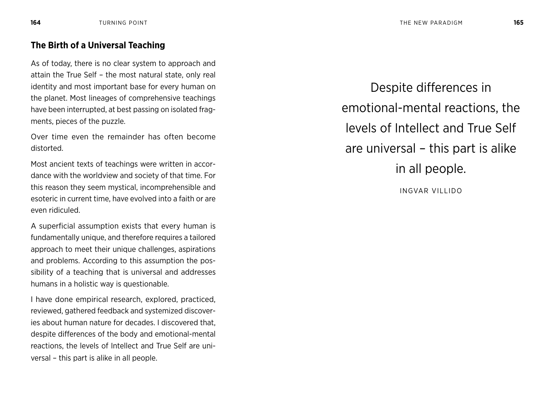## **The Birth of a Universal Teaching**

As of today, there is no clear system to approach and attain the True Self – the most natural state, only real identity and most important base for every human on the planet. Most lineages of comprehensive teachings have been interrupted, at best passing on isolated fragments, pieces of the puzzle.

Over time even the remainder has often become distorted.

Most ancient texts of teachings were written in accordance with the worldview and society of that time. For this reason they seem mystical, incomprehensible and esoteric in current time, have evolved into a faith or are even ridiculed.

A superficial assumption exists that every human is fundamentally unique, and therefore requires a tailored approach to meet their unique challenges, aspirations and problems. According to this assumption the possibility of a teaching that is universal and addresses humans in a holistic way is questionable.

I have done empirical research, explored, practiced, reviewed, gathered feedback and systemized discoveries about human nature for decades. I discovered that, despite differences of the body and emotional-mental reactions, the levels of Intellect and True Self are universal – this part is alike in all people.

Despite differences in emotional-mental reactions, the levels of Intellect and True Self are universal – this part is alike in all people.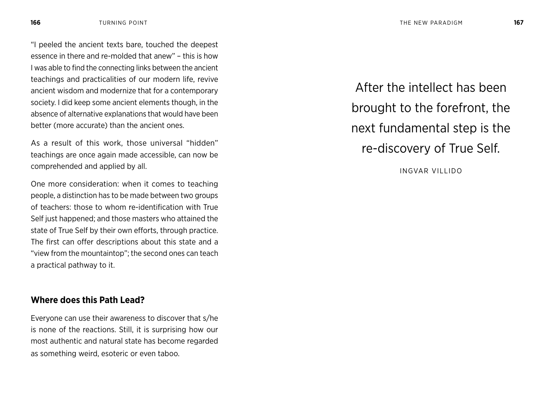"I peeled the ancient texts bare, touched the deepest essence in there and re-molded that anew" – this is how I was able to find the connecting links between the ancient teachings and practicalities of our modern life, revive ancient wisdom and modernize that for a contemporary society. I did keep some ancient elements though, in the absence of alternative explanations that would have been better (more accurate) than the ancient ones.

As a result of this work, those universal "hidden" teachings are once again made accessible, can now be comprehended and applied by all.

One more consideration: when it comes to teaching people, a distinction has to be made between two groups of teachers: those to whom re-identification with True Self just happened; and those masters who attained the state of True Self by their own efforts, through practice. The first can offer descriptions about this state and a "view from the mountaintop"; the second ones can teach a practical pathway to it.

## **Where does this Path Lead?**

Everyone can use their awareness to discover that s/he is none of the reactions. Still, it is surprising how our most authentic and natural state has become regarded as something weird, esoteric or even taboo.

After the intellect has been brought to the forefront, the next fundamental step is the re-discovery of True Self.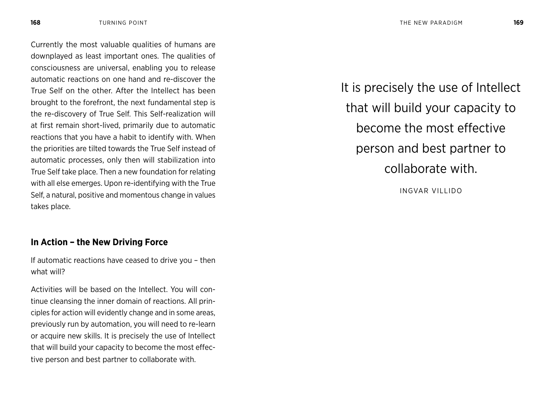Currently the most valuable qualities of humans are downplayed as least important ones. The qualities of consciousness are universal, enabling you to release automatic reactions on one hand and re-discover the True Self on the other. After the Intellect has been brought to the forefront, the next fundamental step is the re-discovery of True Self. This Self-realization will at first remain short-lived, primarily due to automatic reactions that you have a habit to identify with. When the priorities are tilted towards the True Self instead of automatic processes, only then will stabilization into True Self take place. Then a new foundation for relating with all else emerges. Upon re-identifying with the True Self, a natural, positive and momentous change in values takes place.

## **In Action – the New Driving Force**

If automatic reactions have ceased to drive you – then what will?

Activities will be based on the Intellect. You will continue cleansing the inner domain of reactions. All principles for action will evidently change and in some areas, previously run by automation, you will need to re-learn or acquire new skills. It is precisely the use of Intellect that will build your capacity to become the most effective person and best partner to collaborate with.

It is precisely the use of Intellect that will build your capacity to become the most effective person and best partner to collaborate with.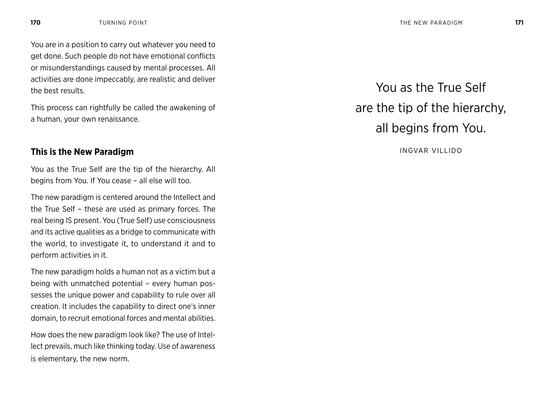You are in a position to carry out whatever you need to get done. Such people do not have emotional conflicts or misunderstandings caused by mental processes. All activities are done impeccably, are realistic and deliver the best results.

This process can rightfully be called the awakening of a human, your own renaissance.

## **This is the New Paradigm**

You as the True Self are the tip of the hierarchy. All begins from You. If You cease – all else will too.

The new paradigm is centered around the Intellect and the True Self – these are used as primary forces. The real being IS present. You (True Self) use consciousness and its active qualities as a bridge to communicate with the world, to investigate it, to understand it and to perform activities in it.

The new paradigm holds a human not as a victim but a being with unmatched potential – every human possesses the unique power and capability to rule over all creation. It includes the capability to direct one's inner domain, to recruit emotional forces and mental abilities.

How does the new paradigm look like? The use of Intellect prevails, much like thinking today. Use of awareness is elementary, the new norm.

# You as the True Self are the tip of the hierarchy, all begins from You.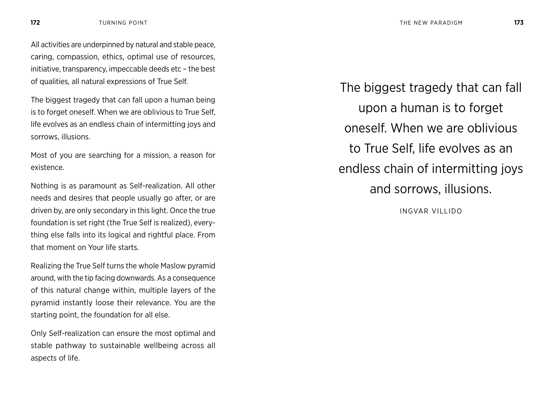All activities are underpinned by natural and stable peace, caring, compassion, ethics, optimal use of resources, initiative, transparency, impeccable deeds etc – the best of qualities, all natural expressions of True Self.

The biggest tragedy that can fall upon a human being is to forget oneself. When we are oblivious to True Self, life evolves as an endless chain of intermitting joys and sorrows, illusions.

Most of you are searching for a mission, a reason for existence.

Nothing is as paramount as Self-realization. All other needs and desires that people usually go after, or are driven by, are only secondary in this light. Once the true foundation is set right (the True Self is realized), everything else falls into its logical and rightful place. From that moment on Your life starts.

Realizing the True Self turns the whole Maslow pyramid around, with the tip facing downwards. As a consequence of this natural change within, multiple layers of the pyramid instantly loose their relevance. You are the starting point, the foundation for all else.

Only Self-realization can ensure the most optimal and stable pathway to sustainable wellbeing across all aspects of life.

The biggest tragedy that can fall upon a human is to forget oneself. When we are oblivious to True Self, life evolves as an endless chain of intermitting joys and sorrows, illusions.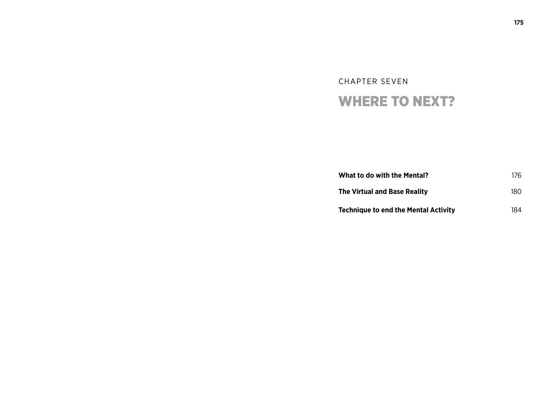## CHAPTER SEVEN WHERE TO NEXT?

| <b>What to do with the Mental?</b>   | 176 |
|--------------------------------------|-----|
| <b>The Virtual and Base Reality</b>  | 180 |
| Technique to end the Mental Activity | 184 |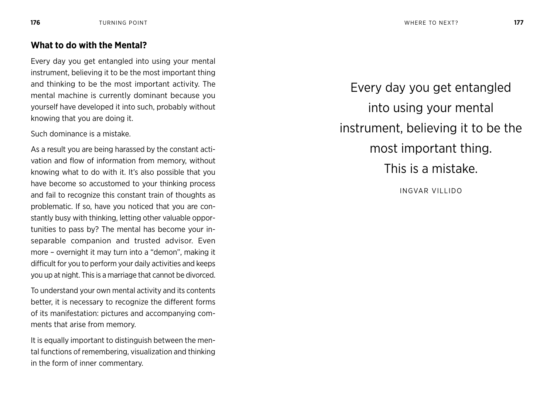## **What to do with the Mental?**

Every day you get entangled into using your mental instrument, believing it to be the most important thing and thinking to be the most important activity. The mental machine is currently dominant because you yourself have developed it into such, probably without knowing that you are doing it.

Such dominance is a mistake.

As a result you are being harassed by the constant activation and flow of information from memory, without knowing what to do with it. It's also possible that you have become so accustomed to your thinking process and fail to recognize this constant train of thoughts as problematic. If so, have you noticed that you are constantly busy with thinking, letting other valuable opportunities to pass by? The mental has become your inseparable companion and trusted advisor. Even more – overnight it may turn into a "demon", making it difficult for you to perform your daily activities and keeps you up at night. This is a marriage that cannot be divorced.

To understand your own mental activity and its contents better, it is necessary to recognize the different forms of its manifestation: pictures and accompanying comments that arise from memory.

It is equally important to distinguish between the mental functions of remembering, visualization and thinking in the form of inner commentary.

Every day you get entangled into using your mental instrument, believing it to be the most important thing. This is a mistake.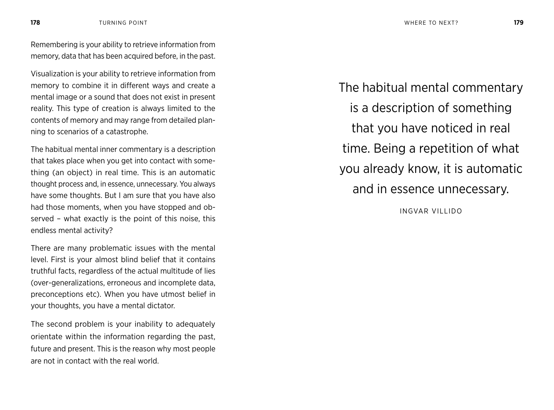Remembering is your ability to retrieve information from memory, data that has been acquired before, in the past.

Visualization is your ability to retrieve information from memory to combine it in different ways and create a mental image or a sound that does not exist in present reality. This type of creation is always limited to the contents of memory and may range from detailed planning to scenarios of a catastrophe.

The habitual mental inner commentary is a description that takes place when you get into contact with something (an object) in real time. This is an automatic thought process and, in essence, unnecessary. You always have some thoughts. But I am sure that you have also had those moments, when you have stopped and observed – what exactly is the point of this noise, this endless mental activity?

There are many problematic issues with the mental level. First is your almost blind belief that it contains truthful facts, regardless of the actual multitude of lies (over-generalizations, erroneous and incomplete data, preconceptions etc). When you have utmost belief in your thoughts, you have a mental dictator.

The second problem is your inability to adequately orientate within the information regarding the past, future and present. This is the reason why most people are not in contact with the real world.

The habitual mental commentary is a description of something that you have noticed in real time. Being a repetition of what you already know, it is automatic and in essence unnecessary.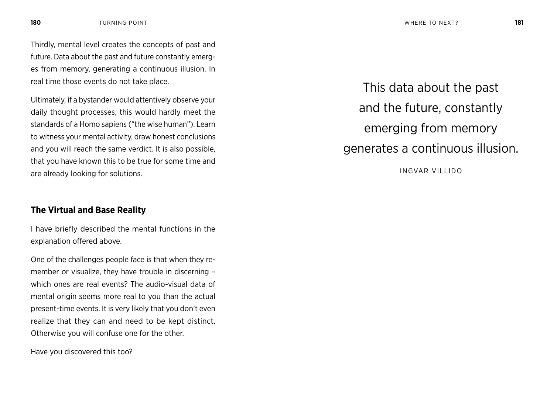Thirdly, mental level creates the concepts of past and future. Data about the past and future constantly emerges from memory, generating a continuous illusion. In real time those events do not take place.

Ultimately, if a bystander would attentively observe your daily thought processes, this would hardly meet the standards of a Homo sapiens ("the wise human"). Learn to witness your mental activity, draw honest conclusions and you will reach the same verdict. It is also possible, that you have known this to be true for some time and are already looking for solutions.

### **The Virtual and Base Reality**

I have briefly described the mental functions in the explanation offered above.

One of the challenges people face is that when they remember or visualize, they have trouble in discerning – which ones are real events? The audio-visual data of mental origin seems more real to you than the actual present-time events. It is very likely that you don't even realize that they can and need to be kept distinct. Otherwise you will confuse one for the other.

Have you discovered this too?

This data about the past and the future, constantly emerging from memory generates a continuous illusion.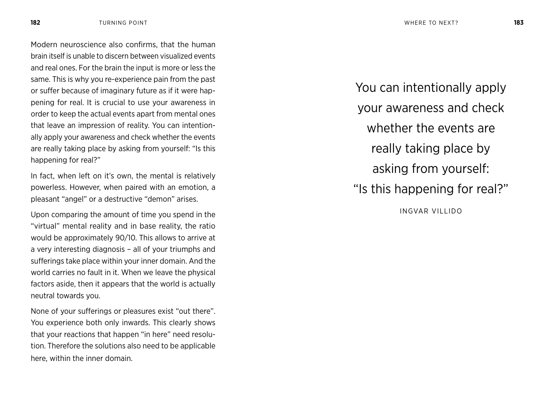Modern neuroscience also confirms, that the human brain itself is unable to discern between visualized events and real ones. For the brain the input is more or less the same. This is why you re-experience pain from the past or suffer because of imaginary future as if it were happening for real. It is crucial to use your awareness in order to keep the actual events apart from mental ones that leave an impression of reality. You can intentionally apply your awareness and check whether the events are really taking place by asking from yourself: "Is this happening for real?"

In fact, when left on it's own, the mental is relatively powerless. However, when paired with an emotion, a pleasant "angel" or a destructive "demon" arises.

Upon comparing the amount of time you spend in the "virtual" mental reality and in base reality, the ratio would be approximately 90/10. This allows to arrive at a very interesting diagnosis – all of your triumphs and sufferings take place within your inner domain. And the world carries no fault in it. When we leave the physical factors aside, then it appears that the world is actually neutral towards you.

None of your sufferings or pleasures exist "out there". You experience both only inwards. This clearly shows that your reactions that happen "in here" need resolution. Therefore the solutions also need to be applicable here, within the inner domain.

You can intentionally apply your awareness and check whether the events are really taking place by asking from yourself: "Is this happening for real?" INGVAR VILLIDO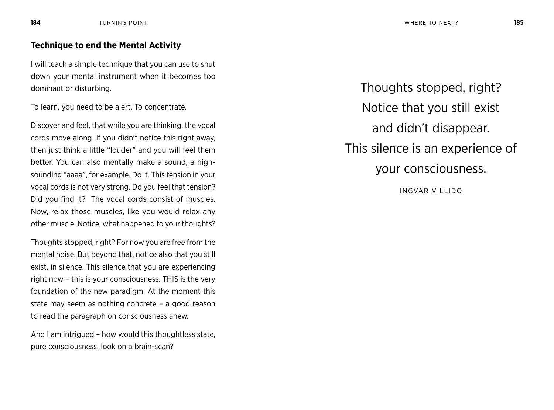## **Technique to end the Mental Activity**

I will teach a simple technique that you can use to shut down your mental instrument when it becomes too dominant or disturbing.

To learn, you need to be alert. To concentrate.

Discover and feel, that while you are thinking, the vocal cords move along. If you didn't notice this right away, then just think a little "louder" and you will feel them better. You can also mentally make a sound, a highsounding "aaaa", for example. Do it. This tension in your vocal cords is not very strong. Do you feel that tension? Did you find it? The vocal cords consist of muscles. Now, relax those muscles, like you would relax any other muscle. Notice, what happened to your thoughts?

Thoughts stopped, right? For now you are free from the mental noise. But beyond that, notice also that you still exist, in silence. This silence that you are experiencing right now – this is your consciousness. THIS is the very foundation of the new paradigm. At the moment this state may seem as nothing concrete – a good reason to read the paragraph on consciousness anew.

And I am intrigued – how would this thoughtless state, pure consciousness, look on a brain-scan?

Thoughts stopped, right? Notice that you still exist and didn't disappear. This silence is an experience of your consciousness.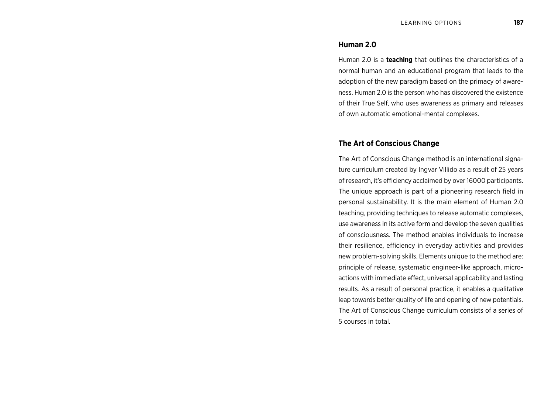### **Human 2.0**

Human 2.0 is a **teaching** that outlines the characteristics of a normal human and an educational program that leads to the adoption of the new paradigm based on the primacy of awareness. Human 2.0 is the person who has discovered the existence of their True Self, who uses awareness as primary and releases of own automatic emotional-mental complexes.

### **The Art of Conscious Change**

The Art of Conscious Change method is an international signature curriculum created by Ingvar Villido as a result of 25 years of research, it's efficiency acclaimed by over 16000 participants. The unique approach is part of a pioneering research field in personal sustainability. It is the main element of Human 2.0 teaching, providing techniques to release automatic complexes, use awareness in its active form and develop the seven qualities of consciousness. The method enables individuals to increase their resilience, efficiency in everyday activities and provides new problem-solving skills. Elements unique to the method are: principle of release, systematic engineer-like approach, microactions with immediate effect, universal applicability and lasting results. As a result of personal practice, it enables a qualitative leap towards better quality of life and opening of new potentials. The Art of Conscious Change curriculum consists of a series of 5 courses in total.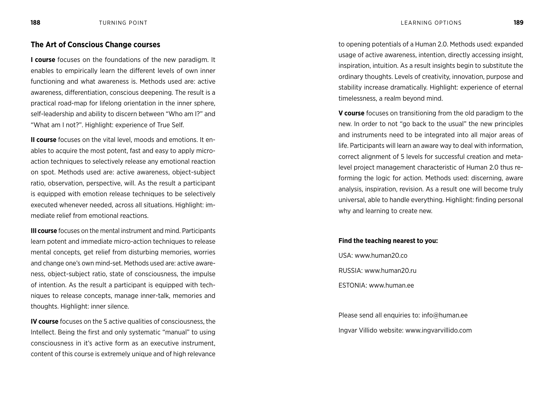### **The Art of Conscious Change courses**

**I course** focuses on the foundations of the new paradigm. It enables to empirically learn the different levels of own inner functioning and what awareness is. Methods used are: active awareness, differentiation, conscious deepening. The result is a practical road-map for lifelong orientation in the inner sphere, self-leadership and ability to discern between "Who am I?" and "What am I not?". Highlight: experience of True Self.

**II course** focuses on the vital level, moods and emotions. It enables to acquire the most potent, fast and easy to apply microaction techniques to selectively release any emotional reaction on spot. Methods used are: active awareness, object-subject ratio, observation, perspective, will. As the result a participant is equipped with emotion release techniques to be selectively executed whenever needed, across all situations. Highlight: immediate relief from emotional reactions.

**III course** focuses on the mental instrument and mind. Participants learn potent and immediate micro-action techniques to release mental concepts, get relief from disturbing memories, worries and change one's own mind-set. Methods used are: active awareness, object-subject ratio, state of consciousness, the impulse of intention. As the result a participant is equipped with techniques to release concepts, manage inner-talk, memories and thoughts. Highlight: inner silence.

**IV course** focuses on the 5 active qualities of consciousness, the Intellect. Being the first and only systematic "manual" to using consciousness in it's active form as an executive instrument, content of this course is extremely unique and of high relevance to opening potentials of a Human 2.0. Methods used: expanded usage of active awareness, intention, directly accessing insight, inspiration, intuition. As a result insights begin to substitute the ordinary thoughts. Levels of creativity, innovation, purpose and stability increase dramatically. Highlight: experience of eternal timelessness, a realm beyond mind.

**V course** focuses on transitioning from the old paradigm to the new. In order to not "go back to the usual" the new principles and instruments need to be integrated into all major areas of life. Participants will learn an aware way to deal with information, correct alignment of 5 levels for successful creation and metalevel project management characteristic of Human 2.0 thus reforming the logic for action. Methods used: discerning, aware analysis, inspiration, revision. As a result one will become truly universal, able to handle everything. Highlight: finding personal why and learning to create new.

#### **Find the teaching nearest to you:**

USA: www.human20.co RUSSIA: www.human20.ru

ESTONIA: www.human.ee

Please send all enquiries to: info@human.ee Ingvar Villido website: www.ingvarvillido.com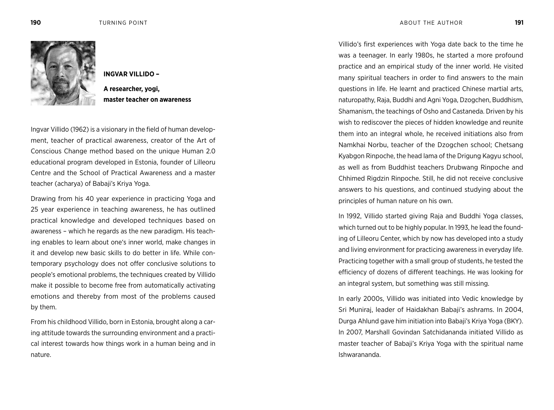

**INGVAR VILLIDO –** 

**A researcher, yogi, master teacher on awareness**

Ingvar Villido (1962) is a visionary in the field of human development, teacher of practical awareness, creator of the Art of Conscious Change method based on the unique Human 2.0 educational program developed in Estonia, founder of Lilleoru Centre and the School of Practical Awareness and a master teacher (acharya) of Babaji's Kriya Yoga.

Drawing from his 40 year experience in practicing Yoga and 25 year experience in teaching awareness, he has outlined practical knowledge and developed techniques based on awareness – which he regards as the new paradigm. His teaching enables to learn about one's inner world, make changes in it and develop new basic skills to do better in life. While contemporary psychology does not offer conclusive solutions to people's emotional problems, the techniques created by Villido make it possible to become free from automatically activating emotions and thereby from most of the problems caused by them.

From his childhood Villido, born in Estonia, brought along a caring attitude towards the surrounding environment and a practical interest towards how things work in a human being and in nature.

Villido's first experiences with Yoga date back to the time he was a teenager. In early 1980s, he started a more profound practice and an empirical study of the inner world. He visited many spiritual teachers in order to find answers to the main questions in life. He learnt and practiced Chinese martial arts, naturopathy, Raja, Buddhi and Agni Yoga, Dzogchen, Buddhism, Shamanism, the teachings of Osho and Castaneda. Driven by his wish to rediscover the pieces of hidden knowledge and reunite them into an integral whole, he received initiations also from Namkhai Norbu, teacher of the Dzogchen school; Chetsang Kyabgon Rinpoche, the head lama of the Drigung Kagyu school, as well as from Buddhist teachers Drubwang Rinpoche and Chhimed Rigdzin Rinpoche. Still, he did not receive conclusive answers to his questions, and continued studying about the principles of human nature on his own.

In 1992, Villido started giving Raja and Buddhi Yoga classes, which turned out to be highly popular. In 1993, he lead the founding of Lilleoru Center, which by now has developed into a study and living environment for practicing awareness in everyday life. Practicing together with a small group of students, he tested the efficiency of dozens of different teachings. He was looking for an integral system, but something was still missing.

In early 2000s, Villido was initiated into Vedic knowledge by Sri Muniraj, leader of Haidakhan Babaji's ashrams. In 2004, Durga Ahlund gave him initiation into Babaji's Kriya Yoga (BKY). In 2007, Marshall Govindan Satchidananda initiated Villido as master teacher of Babaji's Kriya Yoga with the spiritual name Ishwarananda.